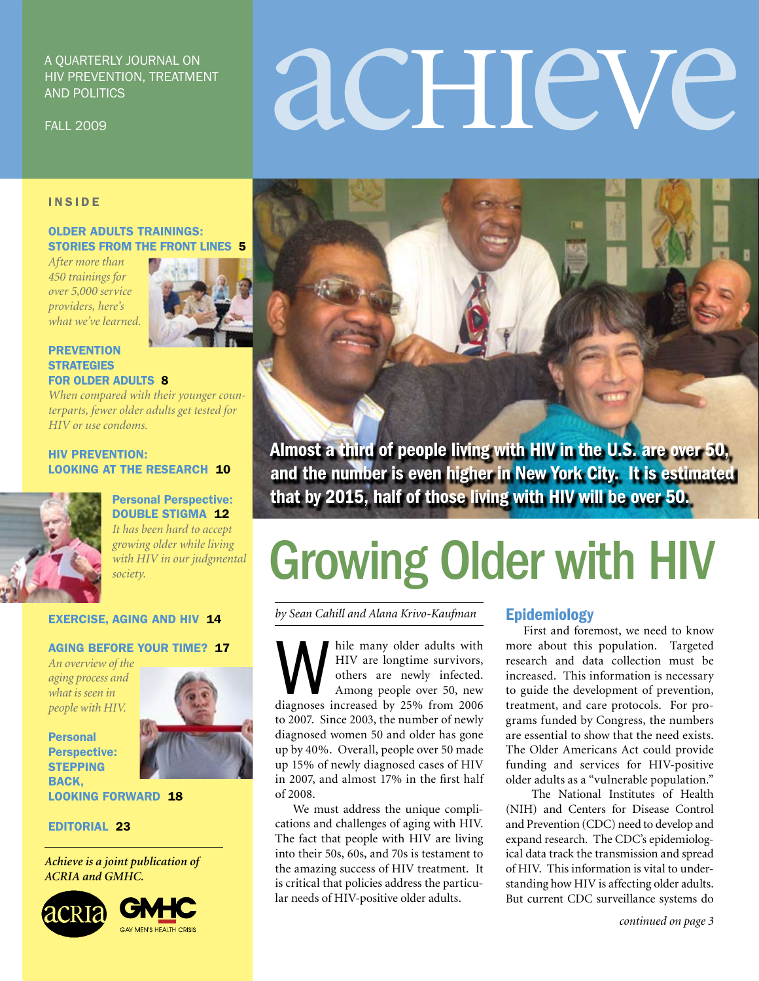#### A Quarterly Journal on HIV Prevention, Treatment and Politics

FALL 2009

# acHIeVe

#### INSIDE

#### older adults trainings: stories from the front lines 5

*After more than 450 trainings for over 5,000 service providers, here's what we've learned.*



#### **PREVENTION STRATEGIES** for older adults 8

*When compared with their younger counterparts, fewer older adults get tested for HIV or use condoms.* 

#### hiv prevention: LOOKING AT THE RESEARCH 10



Personal Perspective: DOUBLE STIGMA 12 *It has been hard to accept growing older while living with HIV in our judgmental society.* 

#### exercise, aging and hiv 14

#### aging before your time? 17

*An overview of the aging process and what is seen in people with HIV.*



Personal Perspective: **STEPPING** BACK.



looking forward 18

#### Editorial 23

*Achieve is a joint publication of ACRIA and GMHC.*



Almost a third of people living with HIV in the U.S. are over 50, and the number is even higher in New York City. It is estimated that by 2015, half of those living with HIV will be over 50.

### Growing Older with HIV

*by Sean Cahill and Alana Krivo-Kaufman*

While many older adults with<br>HIV are longtime survivors,<br>others are newly infected.<br>Among people over 50, new<br>diagnoses increased by 25% from 2006 HIV are longtime survivors, others are newly infected. Among people over 50, new to 2007. Since 2003, the number of newly diagnosed women 50 and older has gone up by 40%. Overall, people over 50 made up 15% of newly diagnosed cases of HIV in 2007, and almost 17% in the first half of 2008.

We must address the unique complications and challenges of aging with HIV. The fact that people with HIV are living into their 50s, 60s, and 70s is testament to the amazing success of HIV treatment. It is critical that policies address the particular needs of HIV-positive older adults.

#### Epidemiology

First and foremost, we need to know more about this population. Targeted research and data collection must be increased. This information is necessary to guide the development of prevention, treatment, and care protocols. For programs funded by Congress, the numbers are essential to show that the need exists. The Older Americans Act could provide funding and services for HIV-positive older adults as a "vulnerable population."

 The National Institutes of Health (NIH) and Centers for Disease Control and Prevention (CDC) need to develop and expand research. The CDC's epidemiological data track the transmission and spread of HIV. This information is vital to understanding how HIV is affecting older adults. But current CDC surveillance systems do

*continued on page 3*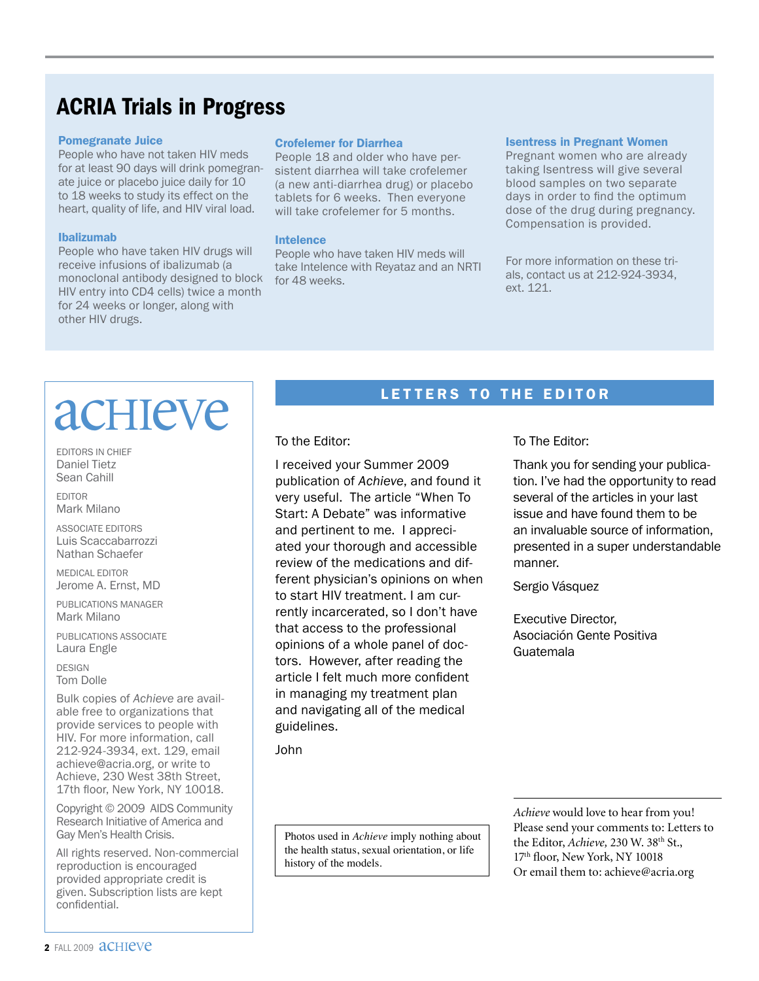#### ACRIA Trials in Progress

#### Pomegranate Juice

People who have not taken HIV meds for at least 90 days will drink pomegranate juice or placebo juice daily for 10 to 18 weeks to study its effect on the heart, quality of life, and HIV viral load.

#### Ibalizumab

People who have taken HIV drugs will receive infusions of ibalizumab (a monoclonal antibody designed to block HIV entry into CD4 cells) twice a month for 24 weeks or longer, along with other HIV drugs.

#### Crofelemer for Diarrhea

People 18 and older who have persistent diarrhea will take crofelemer (a new anti-diarrhea drug) or placebo tablets for 6 weeks. Then everyone will take crofelemer for 5 months.

#### Intelence

People who have taken HIV meds will take Intelence with Reyataz and an NRTI for 48 weeks.

#### Isentress in Pregnant Women

Pregnant women who are already taking Isentress will give several blood samples on two separate days in order to find the optimum dose of the drug during pregnancy. Compensation is provided.

For more information on these trials, contact us at 212-924-3934, ext. 121.

### acHIeVe

Editors in Chief Daniel Tietz Sean Cahill

Editor Mark Milano

Associate Editors Luis Scaccabarrozzi Nathan Schaefer

Medical Editor Jerome A. Ernst, MD

Publications Manager Mark Milano

PUBLICATIONS ASSOCIATE Laura Engle

**DESIGN** Tom Dolle

Bulk copies of *Achieve* are available free to organizations that provide services to people with HIV. For more information, call 212-924-3934, ext. 129, email achieve@acria.org, or write to Achieve, 230 West 38th Street, 17th floor, New York, NY 10018.

Copyright © 2009 AIDS Community Research Initiative of America and Gay Men's Health Crisis.

All rights reserved. Non-commercial reproduction is encouraged provided appropriate credit is given. Subscription lists are kept confidential.

#### LETTERS TO THE EDITOR

To the Editor:

I received your Summer 2009 publication of *Achieve*, and found it very useful. The article "When To Start: A Debate" was informative and pertinent to me. I appreciated your thorough and accessible review of the medications and different physician's opinions on when to start HIV treatment. I am currently incarcerated, so I don't have that access to the professional opinions of a whole panel of doctors. However, after reading the article I felt much more confident in managing my treatment plan and navigating all of the medical guidelines.

John

Photos used in *Achieve* imply nothing about the health status, sexual orientation, or life history of the models.

To The Editor:

Thank you for sending your publication. I've had the opportunity to read several of the articles in your last issue and have found them to be an invaluable source of information, presented in a super understandable manner.

Sergio Vásquez

Executive Director, Asociación Gente Positiva Guatemala

*Achieve* would love to hear from you! Please send your comments to: Letters to the Editor, *Achieve*, 230 W. 38<sup>th</sup> St., 17<sup>th</sup> floor, New York, NY 10018 Or email them to: achieve@acria.org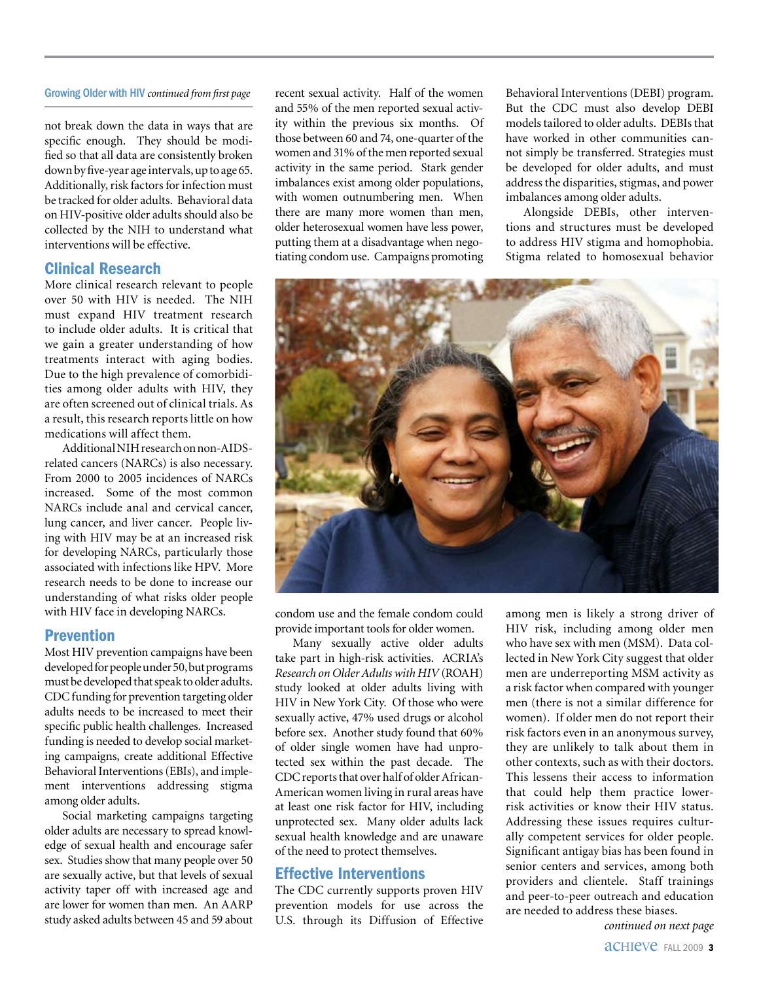#### Growing Older with HIV *continued from first page*

not break down the data in ways that are specific enough. They should be modified so that all data are consistently broken down by five-year age intervals, up to age 65. Additionally, risk factors for infection must be tracked for older adults. Behavioral data on HIV-positive older adults should also be collected by the NIH to understand what interventions will be effective.

#### Clinical Research

More clinical research relevant to people over 50 with HIV is needed. The NIH must expand HIV treatment research to include older adults. It is critical that we gain a greater understanding of how treatments interact with aging bodies. Due to the high prevalence of comorbidities among older adults with HIV, they are often screened out of clinical trials. As a result, this research reports little on how medications will affect them.

Additional NIH research on non-AIDSrelated cancers (NARCs) is also necessary. From 2000 to 2005 incidences of NARCs increased. Some of the most common NARCs include anal and cervical cancer, lung cancer, and liver cancer. People living with HIV may be at an increased risk for developing NARCs, particularly those associated with infections like HPV. More research needs to be done to increase our understanding of what risks older people with HIV face in developing NARCs.

#### Prevention

Most HIV prevention campaigns have been developed for people under 50, but programs must be developed that speak to older adults. CDC funding for prevention targeting older adults needs to be increased to meet their specific public health challenges. Increased funding is needed to develop social marketing campaigns, create additional Effective Behavioral Interventions (EBIs), and implement interventions addressing stigma among older adults.

Social marketing campaigns targeting older adults are necessary to spread knowledge of sexual health and encourage safer sex. Studies show that many people over 50 are sexually active, but that levels of sexual activity taper off with increased age and are lower for women than men. An AARP study asked adults between 45 and 59 about recent sexual activity. Half of the women and 55% of the men reported sexual activity within the previous six months. Of those between 60 and 74, one-quarter of the women and 31% of the men reported sexual activity in the same period. Stark gender imbalances exist among older populations, with women outnumbering men. When there are many more women than men, older heterosexual women have less power, putting them at a disadvantage when negotiating condom use. Campaigns promoting Behavioral Interventions (DEBI) program. But the CDC must also develop DEBI models tailored to older adults. DEBIs that have worked in other communities cannot simply be transferred. Strategies must be developed for older adults, and must address the disparities, stigmas, and power imbalances among older adults.

Alongside DEBIs, other interventions and structures must be developed to address HIV stigma and homophobia. Stigma related to homosexual behavior



condom use and the female condom could provide important tools for older women.

Many sexually active older adults take part in high-risk activities. ACRIA's *Research on Older Adults with HIV* (ROAH) study looked at older adults living with HIV in New York City. Of those who were sexually active, 47% used drugs or alcohol before sex. Another study found that 60% of older single women have had unprotected sex within the past decade. The CDC reports that over half of older African-American women living in rural areas have at least one risk factor for HIV, including unprotected sex. Many older adults lack sexual health knowledge and are unaware of the need to protect themselves.

#### Effective Interventions

The CDC currently supports proven HIV prevention models for use across the U.S. through its Diffusion of Effective among men is likely a strong driver of HIV risk, including among older men who have sex with men (MSM). Data collected in New York City suggest that older men are underreporting MSM activity as a risk factor when compared with younger men (there is not a similar difference for women). If older men do not report their risk factors even in an anonymous survey, they are unlikely to talk about them in other contexts, such as with their doctors. This lessens their access to information that could help them practice lowerrisk activities or know their HIV status. Addressing these issues requires culturally competent services for older people. Significant antigay bias has been found in senior centers and services, among both providers and clientele. Staff trainings and peer-to-peer outreach and education are needed to address these biases.

*continued on next page*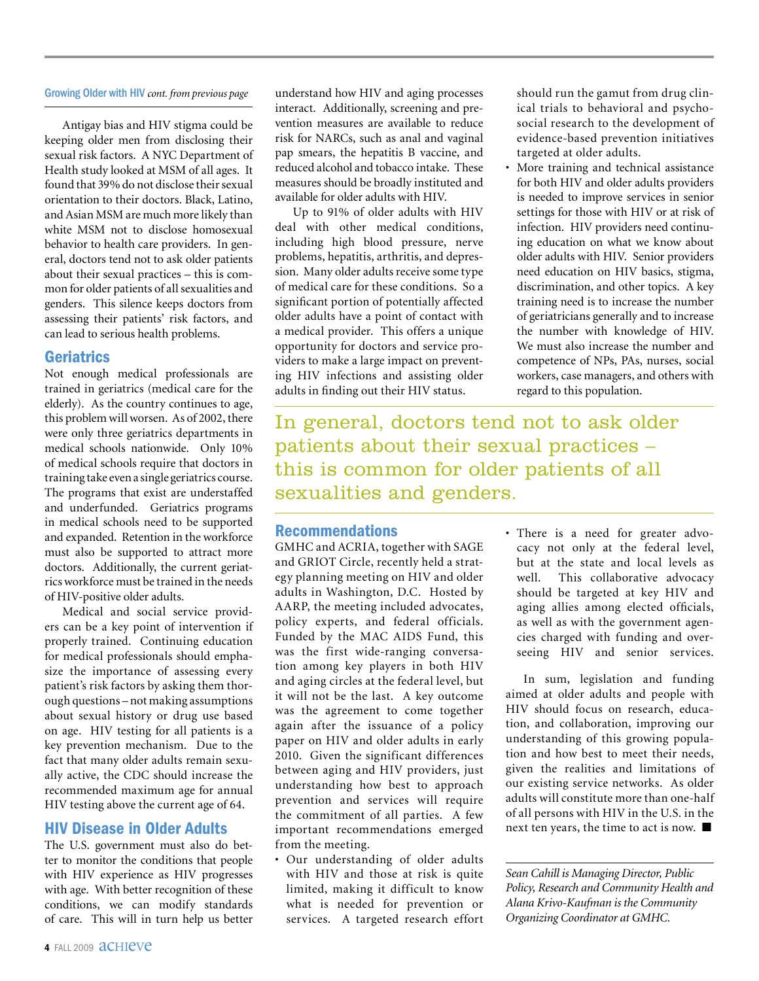#### Growing Older with HIV *cont. from previous page*

Antigay bias and HIV stigma could be keeping older men from disclosing their sexual risk factors. A NYC Department of Health study looked at MSM of all ages. It found that 39% do not disclose their sexual orientation to their doctors. Black, Latino, and Asian MSM are much more likely than white MSM not to disclose homosexual behavior to health care providers. In general, doctors tend not to ask older patients about their sexual practices – this is common for older patients of all sexualities and genders. This silence keeps doctors from assessing their patients' risk factors, and can lead to serious health problems.

#### Geriatrics

Not enough medical professionals are trained in geriatrics (medical care for the elderly). As the country continues to age, this problem will worsen. As of 2002, there were only three geriatrics departments in medical schools nationwide. Only 10% of medical schools require that doctors in training take even a single geriatrics course. The programs that exist are understaffed and underfunded. Geriatrics programs in medical schools need to be supported and expanded. Retention in the workforce must also be supported to attract more doctors. Additionally, the current geriatrics workforce must be trained in the needs of HIV-positive older adults.

Medical and social service providers can be a key point of intervention if properly trained. Continuing education for medical professionals should emphasize the importance of assessing every patient's risk factors by asking them thorough questions – not making assumptions about sexual history or drug use based on age. HIV testing for all patients is a key prevention mechanism. Due to the fact that many older adults remain sexually active, the CDC should increase the recommended maximum age for annual HIV testing above the current age of 64.

#### HIV Disease in Older Adults

The U.S. government must also do better to monitor the conditions that people with HIV experience as HIV progresses with age. With better recognition of these conditions, we can modify standards of care. This will in turn help us better

understand how HIV and aging processes interact. Additionally, screening and prevention measures are available to reduce risk for NARCs, such as anal and vaginal pap smears, the hepatitis B vaccine, and reduced alcohol and tobacco intake. These measures should be broadly instituted and available for older adults with HIV.

Up to 91% of older adults with HIV deal with other medical conditions, including high blood pressure, nerve problems, hepatitis, arthritis, and depression. Many older adults receive some type of medical care for these conditions. So a significant portion of potentially affected older adults have a point of contact with a medical provider. This offers a unique opportunity for doctors and service providers to make a large impact on preventing HIV infections and assisting older adults in finding out their HIV status.

In general, doctors tend not to ask older patients about their sexual practices – this is common for older patients of all sexualities and genders.

#### Recommendations

GMHC and ACRIA, together with SAGE and GRIOT Circle, recently held a strategy planning meeting on HIV and older adults in Washington, D.C. Hosted by AARP, the meeting included advocates, policy experts, and federal officials. Funded by the MAC AIDS Fund, this was the first wide-ranging conversation among key players in both HIV and aging circles at the federal level, but it will not be the last. A key outcome was the agreement to come together again after the issuance of a policy paper on HIV and older adults in early 2010. Given the significant differences between aging and HIV providers, just understanding how best to approach prevention and services will require the commitment of all parties. A few important recommendations emerged from the meeting.

• Our understanding of older adults with HIV and those at risk is quite limited, making it difficult to know what is needed for prevention or services. A targeted research effort • There is a need for greater advocacy not only at the federal level, but at the state and local levels as well. This collaborative advocacy should be targeted at key HIV and aging allies among elected officials, as well as with the government agencies charged with funding and overseeing HIV and senior services.

should run the gamut from drug clinical trials to behavioral and psychosocial research to the development of evidence-based prevention initiatives

More training and technical assistance for both HIV and older adults providers is needed to improve services in senior settings for those with HIV or at risk of infection. HIV providers need continuing education on what we know about older adults with HIV. Senior providers need education on HIV basics, stigma, discrimination, and other topics. A key training need is to increase the number of geriatricians generally and to increase the number with knowledge of HIV. We must also increase the number and competence of NPs, PAs, nurses, social workers, case managers, and others with

targeted at older adults.

regard to this population.

In sum, legislation and funding aimed at older adults and people with HIV should focus on research, education, and collaboration, improving our understanding of this growing population and how best to meet their needs, given the realities and limitations of our existing service networks. As older adults will constitute more than one-half of all persons with HIV in the U.S. in the next ten years, the time to act is now.  $\blacksquare$ 

*Sean Cahill is Managing Director, Public Policy, Research and Community Health and Alana Krivo-Kaufman is the Community Organizing Coordinator at GMHC.*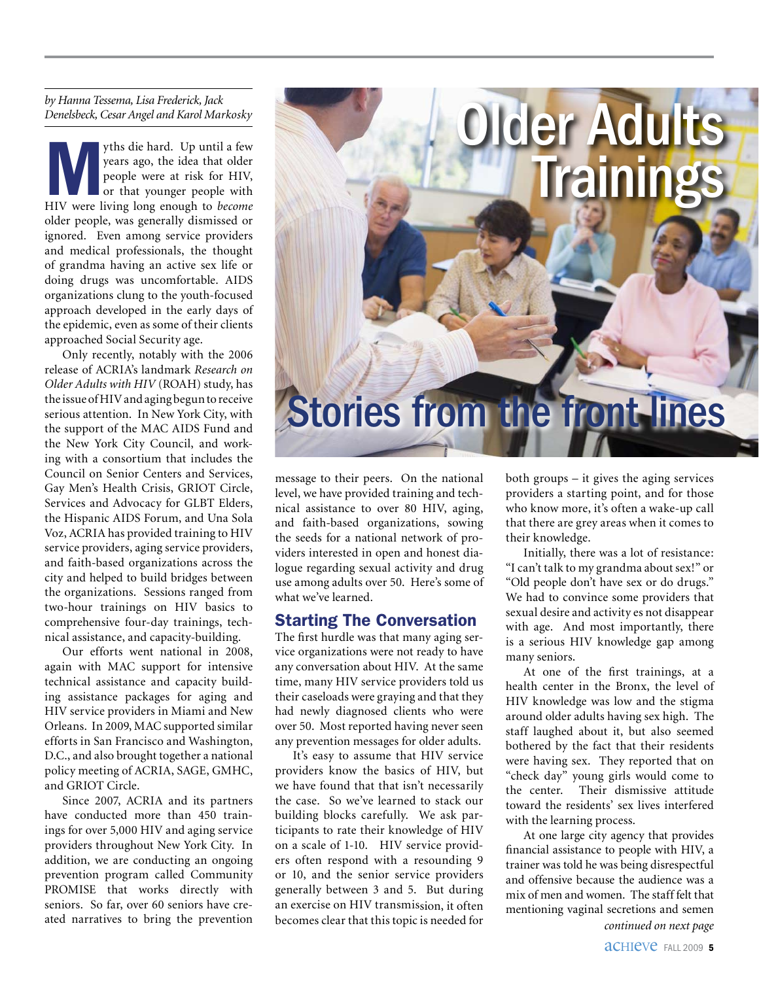*by Hanna Tessema, Lisa Frederick, Jack Denelsbeck, Cesar Angel and Karol Markosky*

Myths die hard. Up until a few HIV were living long enough to *become* years ago, the idea that older people were at risk for HIV, or that younger people with older people, was generally dismissed or ignored. Even among service providers and medical professionals, the thought of grandma having an active sex life or doing drugs was uncomfortable. AIDS organizations clung to the youth-focused approach developed in the early days of the epidemic, even as some of their clients approached Social Security age.

Only recently, notably with the 2006 release of ACRIA's landmark *Research on Older Adults with HIV* (ROAH) study, has the issue of HIV and aging begun to receive serious attention. In New York City, with the support of the MAC AIDS Fund and the New York City Council, and working with a consortium that includes the Council on Senior Centers and Services, Gay Men's Health Crisis, GRIOT Circle, Services and Advocacy for GLBT Elders, the Hispanic AIDS Forum, and Una Sola Voz, ACRIA has provided training to HIV service providers, aging service providers, and faith-based organizations across the city and helped to build bridges between the organizations. Sessions ranged from two-hour trainings on HIV basics to comprehensive four-day trainings, technical assistance, and capacity-building.

Our efforts went national in 2008, again with MAC support for intensive technical assistance and capacity building assistance packages for aging and HIV service providers in Miami and New Orleans. In 2009, MAC supported similar efforts in San Francisco and Washington, D.C., and also brought together a national policy meeting of ACRIA, SAGE, GMHC, and GRIOT Circle.

Since 2007, ACRIA and its partners have conducted more than 450 trainings for over 5,000 HIV and aging service providers throughout New York City. In addition, we are conducting an ongoing prevention program called Community PROMISE that works directly with seniors. So far, over 60 seniors have created narratives to bring the prevention



message to their peers. On the national level, we have provided training and technical assistance to over 80 HIV, aging, and faith-based organizations, sowing the seeds for a national network of providers interested in open and honest dialogue regarding sexual activity and drug use among adults over 50. Here's some of what we've learned.

#### Starting The Conversation

The first hurdle was that many aging service organizations were not ready to have any conversation about HIV. At the same time, many HIV service providers told us their caseloads were graying and that they had newly diagnosed clients who were over 50. Most reported having never seen any prevention messages for older adults.

It's easy to assume that HIV service providers know the basics of HIV, but we have found that that isn't necessarily the case. So we've learned to stack our building blocks carefully. We ask participants to rate their knowledge of HIV on a scale of 1-10. HIV service providers often respond with a resounding 9 or 10, and the senior service providers generally between 3 and 5. But during an exercise on HIV transmission, it often becomes clear that this topic is needed for both groups – it gives the aging services providers a starting point, and for those who know more, it's often a wake-up call that there are grey areas when it comes to their knowledge.

Initially, there was a lot of resistance: "I can't talk to my grandma about sex!" or "Old people don't have sex or do drugs." We had to convince some providers that sexual desire and activity es not disappear with age. And most importantly, there is a serious HIV knowledge gap among many seniors.

At one of the first trainings, at a health center in the Bronx, the level of HIV knowledge was low and the stigma around older adults having sex high. The staff laughed about it, but also seemed bothered by the fact that their residents were having sex. They reported that on "check day" young girls would come to the center. Their dismissive attitude toward the residents' sex lives interfered with the learning process.

At one large city agency that provides financial assistance to people with HIV, a trainer was told he was being disrespectful and offensive because the audience was a mix of men and women. The staff felt that mentioning vaginal secretions and semen

*continued on next page*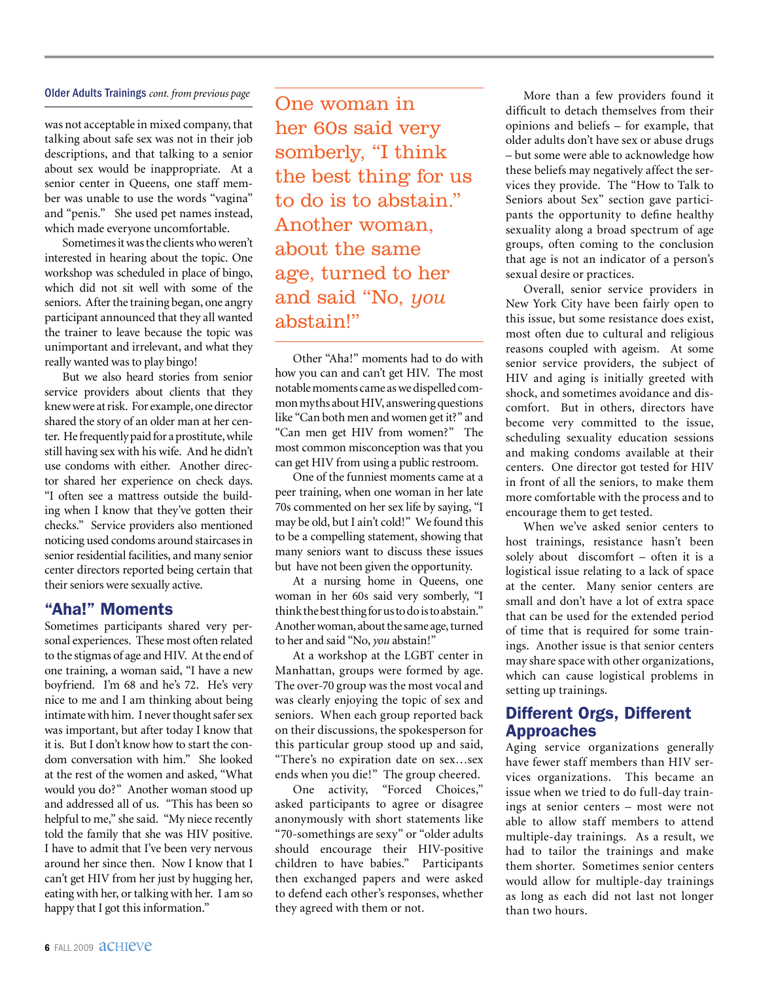#### Older Adults Trainings *cont. from previous page*

was not acceptable in mixed company, that talking about safe sex was not in their job descriptions, and that talking to a senior about sex would be inappropriate. At a senior center in Queens, one staff member was unable to use the words "vagina" and "penis." She used pet names instead, which made everyone uncomfortable.

Sometimes it was the clients who weren't interested in hearing about the topic. One workshop was scheduled in place of bingo, which did not sit well with some of the seniors. After the training began, one angry participant announced that they all wanted the trainer to leave because the topic was unimportant and irrelevant, and what they really wanted was to play bingo!

But we also heard stories from senior service providers about clients that they knew were at risk. For example, one director shared the story of an older man at her center. He frequently paid for a prostitute, while still having sex with his wife. And he didn't use condoms with either. Another director shared her experience on check days. "I often see a mattress outside the building when I know that they've gotten their checks." Service providers also mentioned noticing used condoms around staircases in senior residential facilities, and many senior center directors reported being certain that their seniors were sexually active.

#### "Aha!" Moments

Sometimes participants shared very personal experiences. These most often related to the stigmas of age and HIV. At the end of one training, a woman said, "I have a new boyfriend. I'm 68 and he's 72. He's very nice to me and I am thinking about being intimate with him. I never thought safer sex was important, but after today I know that it is. But I don't know how to start the condom conversation with him." She looked at the rest of the women and asked, "What would you do?" Another woman stood up and addressed all of us. "This has been so helpful to me," she said. "My niece recently told the family that she was HIV positive. I have to admit that I've been very nervous around her since then. Now I know that I can't get HIV from her just by hugging her, eating with her, or talking with her. I am so happy that I got this information."

One woman in her 60s said very somberly, "I think the best thing for us to do is to abstain." Another woman, about the same age, turned to her and said "No, *you* abstain!"

Other "Aha!" moments had to do with how you can and can't get HIV. The most notable moments came as we dispelled common myths about HIV, answering questions like "Can both men and women get it?" and "Can men get HIV from women?" The most common misconception was that you can get HIV from using a public restroom.

One of the funniest moments came at a peer training, when one woman in her late 70s commented on her sex life by saying, "I may be old, but I ain't cold!" We found this to be a compelling statement, showing that many seniors want to discuss these issues but have not been given the opportunity.

At a nursing home in Queens, one woman in her 60s said very somberly, "I think the best thing for us to do is to abstain." Another woman, about the same age, turned to her and said "No, *you* abstain!"

At a workshop at the LGBT center in Manhattan, groups were formed by age. The over-70 group was the most vocal and was clearly enjoying the topic of sex and seniors. When each group reported back on their discussions, the spokesperson for this particular group stood up and said, "There's no expiration date on sex…sex ends when you die!" The group cheered.

One activity, "Forced Choices," asked participants to agree or disagree anonymously with short statements like "70-somethings are sexy" or "older adults should encourage their HIV-positive children to have babies." Participants then exchanged papers and were asked to defend each other's responses, whether they agreed with them or not.

More than a few providers found it difficult to detach themselves from their opinions and beliefs – for example, that older adults don't have sex or abuse drugs – but some were able to acknowledge how these beliefs may negatively affect the services they provide. The "How to Talk to Seniors about Sex" section gave participants the opportunity to define healthy sexuality along a broad spectrum of age groups, often coming to the conclusion that age is not an indicator of a person's sexual desire or practices.

Overall, senior service providers in New York City have been fairly open to this issue, but some resistance does exist, most often due to cultural and religious reasons coupled with ageism. At some senior service providers, the subject of HIV and aging is initially greeted with shock, and sometimes avoidance and discomfort. But in others, directors have become very committed to the issue, scheduling sexuality education sessions and making condoms available at their centers. One director got tested for HIV in front of all the seniors, to make them more comfortable with the process and to encourage them to get tested.

When we've asked senior centers to host trainings, resistance hasn't been solely about discomfort – often it is a logistical issue relating to a lack of space at the center. Many senior centers are small and don't have a lot of extra space that can be used for the extended period of time that is required for some trainings. Another issue is that senior centers may share space with other organizations, which can cause logistical problems in setting up trainings.

#### Different Orgs, Different Approaches

Aging service organizations generally have fewer staff members than HIV services organizations. This became an issue when we tried to do full-day trainings at senior centers – most were not able to allow staff members to attend multiple-day trainings. As a result, we had to tailor the trainings and make them shorter. Sometimes senior centers would allow for multiple-day trainings as long as each did not last not longer than two hours.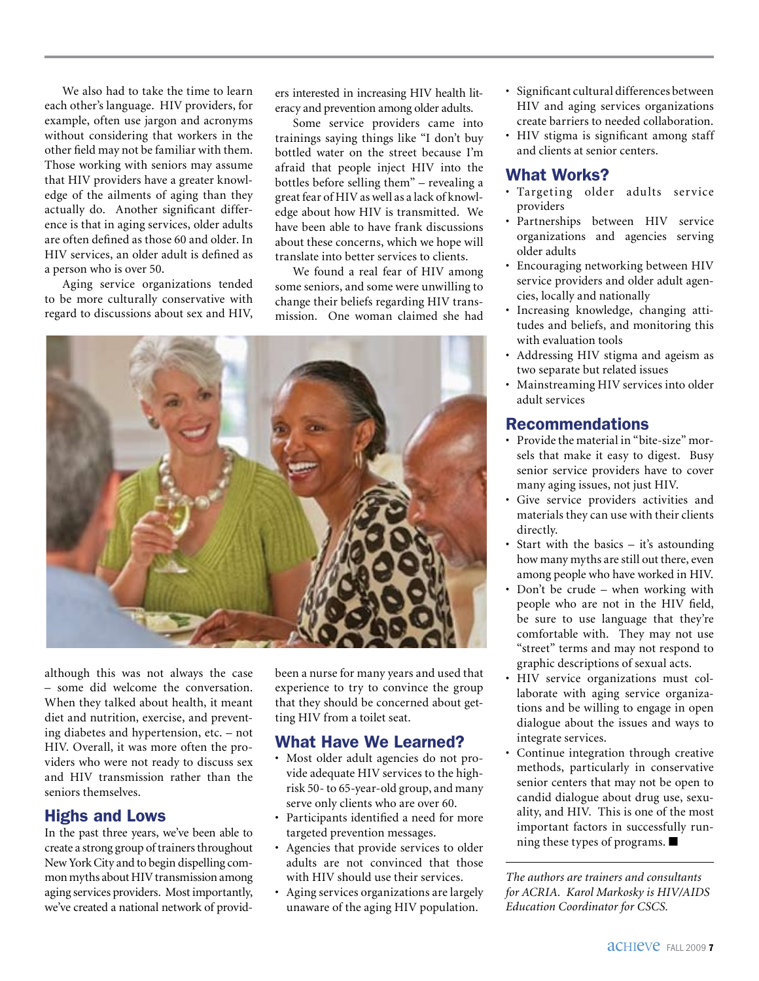We also had to take the time to learn each other's language. HIV providers, for example, often use jargon and acronyms without considering that workers in the other field may not be familiar with them. Those working with seniors may assume that HIV providers have a greater knowledge of the ailments of aging than they actually do. Another significant difference is that in aging services, older adults are often defined as those 60 and older. In HIV services, an older adult is defined as a person who is over 50.

Aging service organizations tended to be more culturally conservative with regard to discussions about sex and HIV, ers interested in increasing HIV health literacy and prevention among older adults.

Some service providers came into trainings saying things like "I don't buy bottled water on the street because I'm afraid that people inject HIV into the bottles before selling them" – revealing a great fear of HIV as well as a lack of knowledge about how HIV is transmitted. We have been able to have frank discussions about these concerns, which we hope will translate into better services to clients.

We found a real fear of HIV among some seniors, and some were unwilling to change their beliefs regarding HIV transmission. One woman claimed she had



although this was not always the case – some did welcome the conversation. When they talked about health, it meant diet and nutrition, exercise, and preventing diabetes and hypertension, etc. – not HIV. Overall, it was more often the providers who were not ready to discuss sex and HIV transmission rather than the seniors themselves.

#### Highs and Lows

In the past three years, we've been able to create a strong group of trainers throughout New York City and to begin dispelling common myths about HIV transmission among aging services providers. Most importantly, we've created a national network of providbeen a nurse for many years and used that experience to try to convince the group that they should be concerned about getting HIV from a toilet seat.

#### What Have We Learned?

- • Most older adult agencies do not provide adequate HIV services to the highrisk 50- to 65-year-old group, and many serve only clients who are over 60.
- Participants identified a need for more targeted prevention messages.
- Agencies that provide services to older adults are not convinced that those with HIV should use their services.
- • Aging services organizations are largely unaware of the aging HIV population.
- • Significant cultural differences between HIV and aging services organizations create barriers to needed collaboration.
- HIV stigma is significant among staff and clients at senior centers.

#### What Works?

- • Targeting older adults service providers
- Partnerships between HIV service organizations and agencies serving older adults
- • Encouraging networking between HIV service providers and older adult agencies, locally and nationally
- Increasing knowledge, changing attitudes and beliefs, and monitoring this with evaluation tools
- • Addressing HIV stigma and ageism as two separate but related issues
- Mainstreaming HIV services into older<br>adult services adult services

#### **Recommendations**

- Provide the material in "bite-size" morsenior service providers have to cover sels that make it easy to digest. Busy many aging issues, not just HIV.
- many aging issues, not just HIV.<br>• Give service providers activities and materials they can use with their clients directly.
- Start with the basics it's astounding how many myths are still out there, even among people who have worked in HIV.
- Don't be crude when working with people who are not in the HIV field, be sure to use language that they're comfortable with. They may not use "street" terms and may not respond to graphic descriptions of sexual acts.
- HIV service organizations must collaborate with aging service organizations and be willing to engage in open dialogue about the issues and ways to integrate services.
- Continue integration through creative methods, particularly in conservative senior centers that may not be open to candid dialogue about drug use, sexuality, and HIV. This is one of the most important factors in successfully running these types of programs.  $\blacksquare$

*The authors are trainers and consultants for ACRIA. Karol Markosky is HIV/AIDS Education Coordinator for CSCS.*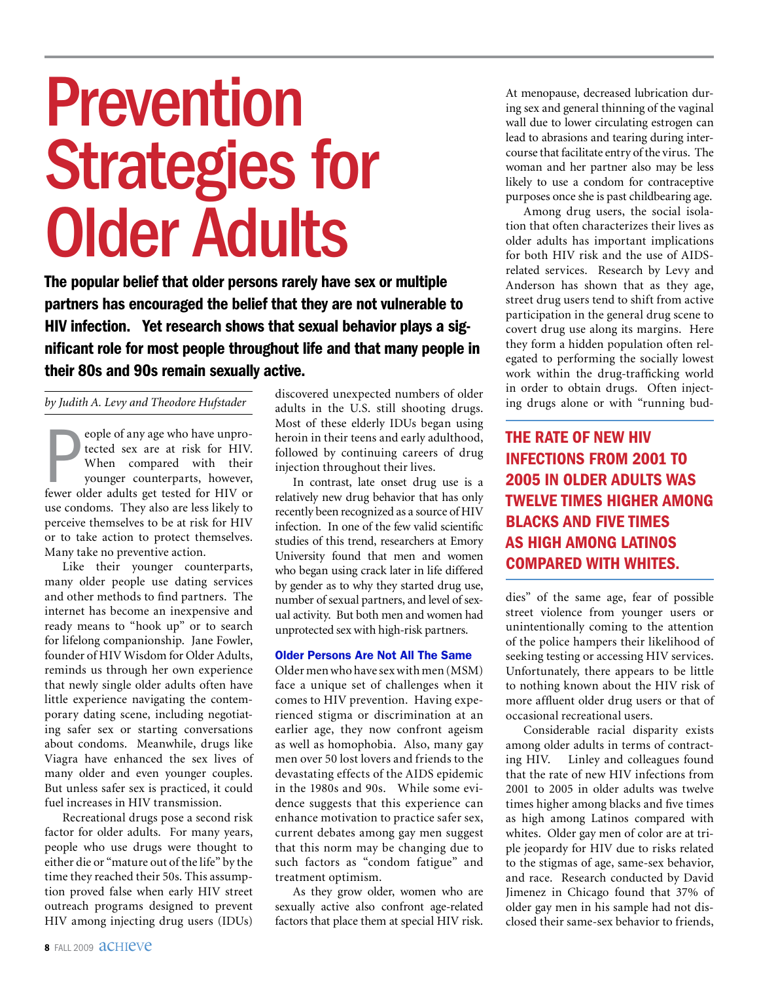## Prevention Strategies for Older Adults

The popular belief that older persons rarely have sex or multiple partners has encouraged the belief that they are not vulnerable to HIV infection. Yet research shows that sexual behavior plays a significant role for most people throughout life and that many people in their 80s and 90s remain sexually active.

#### *by Judith A. Levy and Theodore Hufstader*

**Example of any age who have unprotected sex are at risk for HIV.**<br>When compared with their younger counterparts, however, fewer older adults get tested for HIV or eople of any age who have unprotected sex are at risk for HIV. When compared with their younger counterparts, however, use condoms. They also are less likely to perceive themselves to be at risk for HIV or to take action to protect themselves. Many take no preventive action.

Like their younger counterparts, many older people use dating services and other methods to find partners. The internet has become an inexpensive and ready means to "hook up" or to search for lifelong companionship. Jane Fowler, founder of HIV Wisdom for Older Adults, reminds us through her own experience that newly single older adults often have little experience navigating the contemporary dating scene, including negotiating safer sex or starting conversations about condoms. Meanwhile, drugs like Viagra have enhanced the sex lives of many older and even younger couples. But unless safer sex is practiced, it could fuel increases in HIV transmission.

Recreational drugs pose a second risk factor for older adults. For many years, people who use drugs were thought to either die or "mature out of the life" by the time they reached their 50s. This assumption proved false when early HIV street outreach programs designed to prevent HIV among injecting drug users (IDUs)

discovered unexpected numbers of older adults in the U.S. still shooting drugs. Most of these elderly IDUs began using heroin in their teens and early adulthood, followed by continuing careers of drug injection throughout their lives.

In contrast, late onset drug use is a relatively new drug behavior that has only recently been recognized as a source of HIV infection. In one of the few valid scientific studies of this trend, researchers at Emory University found that men and women who began using crack later in life differed by gender as to why they started drug use, number of sexual partners, and level of sexual activity. But both men and women had unprotected sex with high-risk partners.

#### Older Persons Are Not All The Same

Older men who have sex with men (MSM) face a unique set of challenges when it comes to HIV prevention. Having experienced stigma or discrimination at an earlier age, they now confront ageism as well as homophobia. Also, many gay men over 50 lost lovers and friends to the devastating effects of the AIDS epidemic in the 1980s and 90s. While some evidence suggests that this experience can enhance motivation to practice safer sex, current debates among gay men suggest that this norm may be changing due to such factors as "condom fatigue" and treatment optimism.

As they grow older, women who are sexually active also confront age-related factors that place them at special HIV risk.

At menopause, decreased lubrication during sex and general thinning of the vaginal wall due to lower circulating estrogen can lead to abrasions and tearing during intercourse that facilitate entry of the virus. The woman and her partner also may be less likely to use a condom for contraceptive purposes once she is past childbearing age.

Among drug users, the social isolation that often characterizes their lives as older adults has important implications for both HIV risk and the use of AIDSrelated services. Research by Levy and Anderson has shown that as they age, street drug users tend to shift from active participation in the general drug scene to covert drug use along its margins. Here they form a hidden population often relegated to performing the socially lowest work within the drug-trafficking world in order to obtain drugs. Often injecting drugs alone or with "running bud-

the rate of new HIV infections from 2001 to 2005 in older adults was twelve times higher among blacks and five times as high among Latinos compared with whites.

dies" of the same age, fear of possible street violence from younger users or unintentionally coming to the attention of the police hampers their likelihood of seeking testing or accessing HIV services. Unfortunately, there appears to be little to nothing known about the HIV risk of more affluent older drug users or that of occasional recreational users.

Considerable racial disparity exists among older adults in terms of contracting HIV. Linley and colleagues found that the rate of new HIV infections from 2001 to 2005 in older adults was twelve times higher among blacks and five times as high among Latinos compared with whites. Older gay men of color are at triple jeopardy for HIV due to risks related to the stigmas of age, same-sex behavior, and race. Research conducted by David Jimenez in Chicago found that 37% of older gay men in his sample had not disclosed their same-sex behavior to friends,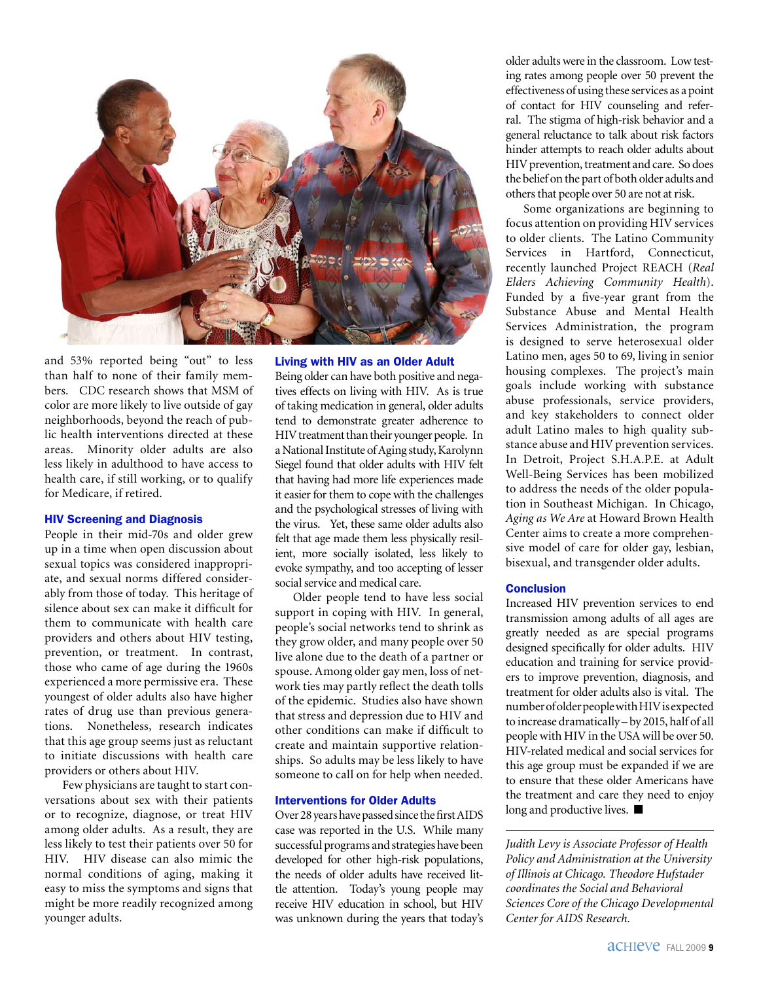

and 53% reported being "out" to less than half to none of their family members. CDC research shows that MSM of color are more likely to live outside of gay neighborhoods, beyond the reach of public health interventions directed at these areas. Minority older adults are also less likely in adulthood to have access to health care, if still working, or to qualify for Medicare, if retired.

#### HIV Screening and Diagnosis

People in their mid-70s and older grew up in a time when open discussion about sexual topics was considered inappropriate, and sexual norms differed considerably from those of today. This heritage of silence about sex can make it difficult for them to communicate with health care providers and others about HIV testing, prevention, or treatment. In contrast, those who came of age during the 1960s experienced a more permissive era. These youngest of older adults also have higher rates of drug use than previous generations. Nonetheless, research indicates that this age group seems just as reluctant to initiate discussions with health care providers or others about HIV.

Few physicians are taught to start conversations about sex with their patients or to recognize, diagnose, or treat HIV among older adults. As a result, they are less likely to test their patients over 50 for HIV. HIV disease can also mimic the normal conditions of aging, making it easy to miss the symptoms and signs that might be more readily recognized among younger adults.

Living with HIV as an Older Adult Being older can have both positive and negatives effects on living with HIV. As is true of taking medication in general, older adults tend to demonstrate greater adherence to HIV treatment than their younger people. In a National Institute of Aging study, Karolynn Siegel found that older adults with HIV felt that having had more life experiences made it easier for them to cope with the challenges and the psychological stresses of living with the virus. Yet, these same older adults also felt that age made them less physically resilient, more socially isolated, less likely to evoke sympathy, and too accepting of lesser social service and medical care.

Older people tend to have less social support in coping with HIV. In general, people's social networks tend to shrink as they grow older, and many people over 50 live alone due to the death of a partner or spouse. Among older gay men, loss of network ties may partly reflect the death tolls of the epidemic. Studies also have shown that stress and depression due to HIV and other conditions can make if difficult to create and maintain supportive relationships. So adults may be less likely to have someone to call on for help when needed.

#### Interventions for Older Adults

Over 28 years have passed since the first AIDS case was reported in the U.S. While many successful programs and strategies have been developed for other high-risk populations, the needs of older adults have received little attention. Today's young people may receive HIV education in school, but HIV was unknown during the years that today's older adults were in the classroom. Low testing rates among people over 50 prevent the effectiveness of using these services as a point of contact for HIV counseling and referral. The stigma of high-risk behavior and a general reluctance to talk about risk factors hinder attempts to reach older adults about HIV prevention, treatment and care. So does the belief on the part of both older adults and others that people over 50 are not at risk.

Some organizations are beginning to focus attention on providing HIV services to older clients. The Latino Community Services in Hartford, Connecticut, recently launched Project REACH (*Real Elders Achieving Community Health*). Funded by a five-year grant from the Substance Abuse and Mental Health Services Administration, the program is designed to serve heterosexual older Latino men, ages 50 to 69, living in senior housing complexes. The project's main goals include working with substance abuse professionals, service providers, and key stakeholders to connect older adult Latino males to high quality substance abuse and HIV prevention services. In Detroit, Project S.H.A.P.E. at Adult Well-Being Services has been mobilized to address the needs of the older population in Southeast Michigan. In Chicago, *Aging as We Are* at Howard Brown Health Center aims to create a more comprehensive model of care for older gay, lesbian, bisexual, and transgender older adults.

#### **Conclusion**

Increased HIV prevention services to end transmission among adults of all ages are greatly needed as are special programs designed specifically for older adults. HIV education and training for service providers to improve prevention, diagnosis, and treatment for older adults also is vital. The number of older people with HIV is expected to increase dramatically – by 2015, half of all people with HIV in the USA will be over 50. HIV-related medical and social services for this age group must be expanded if we are to ensure that these older Americans have the treatment and care they need to enjoy long and productive lives.  $\blacksquare$ 

*Judith Levy is Associate Professor of Health Policy and Administration at the University of Illinois at Chicago. Theodore Hufstader coordinates the Social and Behavioral Sciences Core of the Chicago Developmental Center for AIDS Research.*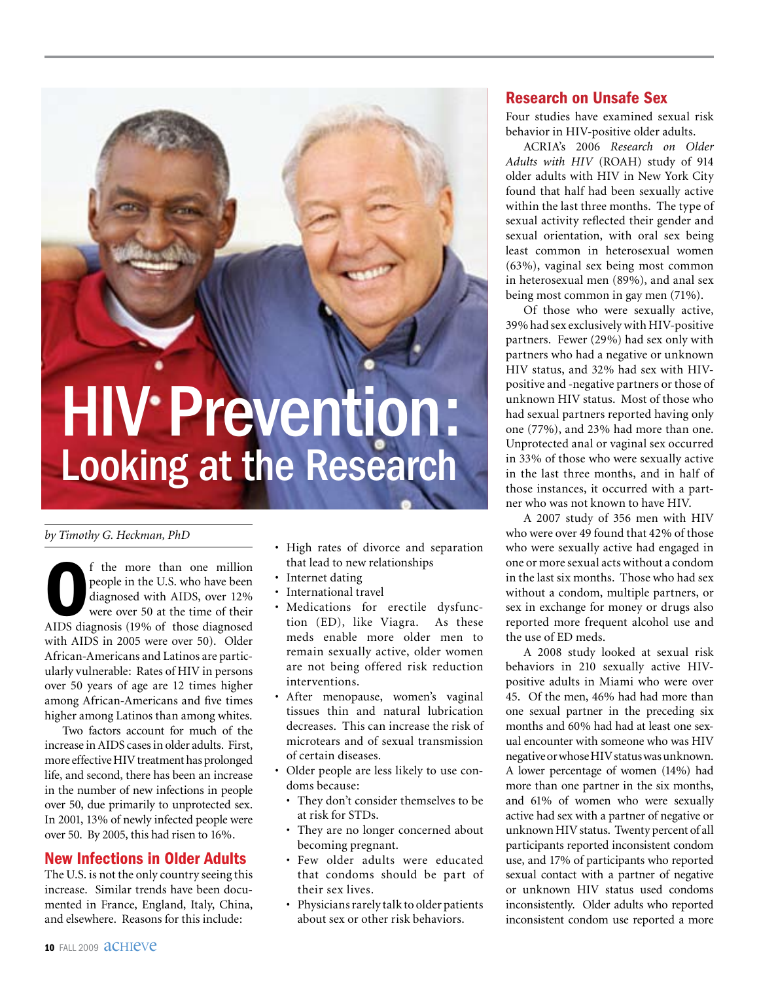### **HIV Prevention:** Looking at the Research

#### *by Timothy G. Heckman, PhD*

f the more than one million<br>people in the U.S. who have been<br>diagnosed with AIDS, over 12%<br>were over 50 at the time of their<br>AIDS diagnosis (19% of those diagnosed f the more than one million people in the U.S. who have been diagnosed with AIDS, over 12% were over 50 at the time of their with AIDS in 2005 were over 50). Older African-Americans and Latinos are particularly vulnerable: Rates of HIV in persons over 50 years of age are 12 times higher among African-Americans and five times higher among Latinos than among whites.

Two factors account for much of the increase in AIDS cases in older adults. First, more effective HIV treatment has prolonged life, and second, there has been an increase in the number of new infections in people over 50, due primarily to unprotected sex. In 2001, 13% of newly infected people were over 50. By 2005, this had risen to 16%.

#### New Infections in Older Adults

The U.S. is not the only country seeing this increase. Similar trends have been documented in France, England, Italy, China, and elsewhere. Reasons for this include:

- High rates of divorce and separation that lead to new relationships
- Internet dating
- International travel
- • Medications for erectile dysfunction (ED), like Viagra. As these meds enable more older men to remain sexually active, older women are not being offered risk reduction interventions.
- After menopause, women's vaginal tissues thin and natural lubrication decreases. This can increase the risk of microtears and of sexual transmission of certain diseases.
- • Older people are less likely to use condoms because:
	- They don't consider themselves to be at risk for STDs.
	- They are no longer concerned about becoming pregnant.
	- Few older adults were educated that condoms should be part of their sex lives.
	- Physicians rarely talk to older patients about sex or other risk behaviors.

#### Research on Unsafe Sex

Four studies have examined sexual risk behavior in HIV-positive older adults.

ACRIA's 2006 *Research on Older Adults with HIV* (ROAH) study of 914 older adults with HIV in New York City found that half had been sexually active within the last three months. The type of sexual activity reflected their gender and sexual orientation, with oral sex being least common in heterosexual women (63%), vaginal sex being most common in heterosexual men (89%), and anal sex being most common in gay men (71%).

Of those who were sexually active, 39% had sex exclusively with HIV-positive partners. Fewer (29%) had sex only with partners who had a negative or unknown HIV status, and 32% had sex with HIVpositive and -negative partners or those of unknown HIV status. Most of those who had sexual partners reported having only one (77%), and 23% had more than one. Unprotected anal or vaginal sex occurred in 33% of those who were sexually active in the last three months, and in half of those instances, it occurred with a partner who was not known to have HIV.

A 2007 study of 356 men with HIV who were over 49 found that 42% of those who were sexually active had engaged in one or more sexual acts without a condom in the last six months. Those who had sex without a condom, multiple partners, or sex in exchange for money or drugs also reported more frequent alcohol use and the use of ED meds.

A 2008 study looked at sexual risk behaviors in 210 sexually active HIVpositive adults in Miami who were over 45. Of the men, 46% had had more than one sexual partner in the preceding six months and 60% had had at least one sexual encounter with someone who was HIV negative or whose HIV status was unknown. A lower percentage of women (14%) had more than one partner in the six months, and 61% of women who were sexually active had sex with a partner of negative or unknown HIV status. Twenty percent of all participants reported inconsistent condom use, and 17% of participants who reported sexual contact with a partner of negative or unknown HIV status used condoms inconsistently. Older adults who reported inconsistent condom use reported a more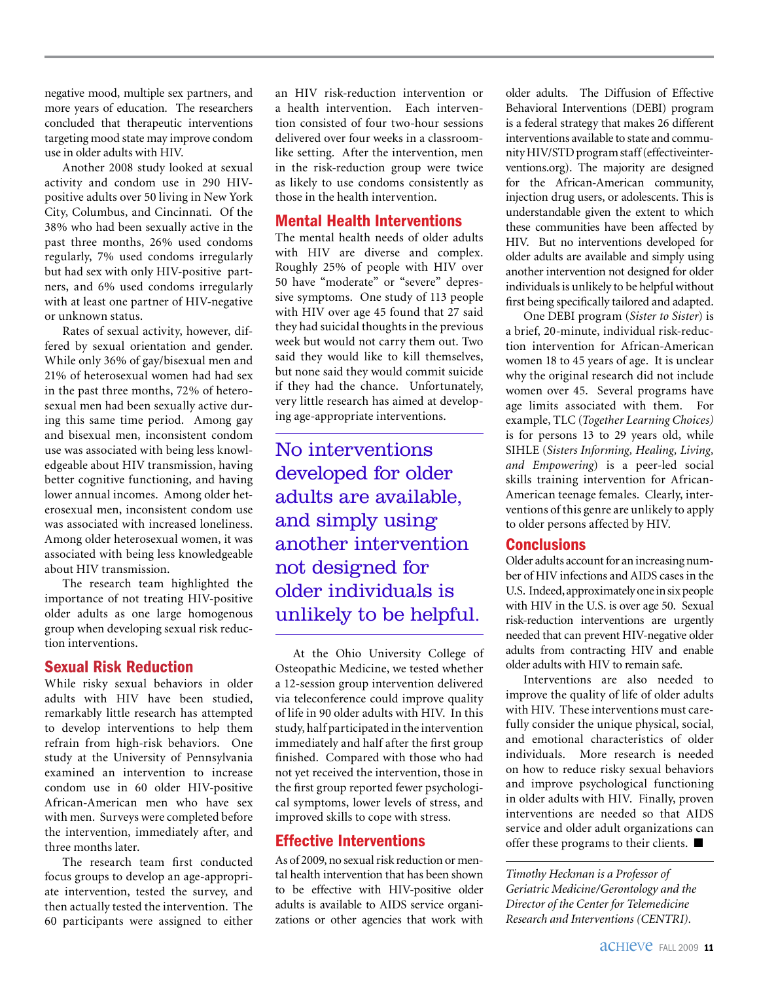negative mood, multiple sex partners, and more years of education. The researchers concluded that therapeutic interventions targeting mood state may improve condom use in older adults with HIV.

Another 2008 study looked at sexual activity and condom use in 290 HIVpositive adults over 50 living in New York City, Columbus, and Cincinnati. Of the 38% who had been sexually active in the past three months, 26% used condoms regularly, 7% used condoms irregularly but had sex with only HIV-positive partners, and 6% used condoms irregularly with at least one partner of HIV-negative or unknown status.

Rates of sexual activity, however, differed by sexual orientation and gender. While only 36% of gay/bisexual men and 21% of heterosexual women had had sex in the past three months, 72% of heterosexual men had been sexually active during this same time period. Among gay and bisexual men, inconsistent condom use was associated with being less knowledgeable about HIV transmission, having better cognitive functioning, and having lower annual incomes. Among older heterosexual men, inconsistent condom use was associated with increased loneliness. Among older heterosexual women, it was associated with being less knowledgeable about HIV transmission.

The research team highlighted the importance of not treating HIV-positive older adults as one large homogenous group when developing sexual risk reduction interventions.

#### Sexual Risk Reduction

While risky sexual behaviors in older adults with HIV have been studied, remarkably little research has attempted to develop interventions to help them refrain from high-risk behaviors. One study at the University of Pennsylvania examined an intervention to increase condom use in 60 older HIV-positive African-American men who have sex with men. Surveys were completed before the intervention, immediately after, and three months later.

The research team first conducted focus groups to develop an age-appropriate intervention, tested the survey, and then actually tested the intervention. The 60 participants were assigned to either

an HIV risk-reduction intervention or a health intervention. Each intervention consisted of four two-hour sessions delivered over four weeks in a classroomlike setting. After the intervention, men in the risk-reduction group were twice as likely to use condoms consistently as those in the health intervention.

#### Mental Health Interventions

The mental health needs of older adults with HIV are diverse and complex. Roughly 25% of people with HIV over 50 have "moderate" or "severe" depressive symptoms. One study of 113 people with HIV over age 45 found that 27 said they had suicidal thoughts in the previous week but would not carry them out. Two said they would like to kill themselves, but none said they would commit suicide if they had the chance. Unfortunately, very little research has aimed at developing age-appropriate interventions.

No interventions developed for older adults are available, and simply using another intervention not designed for older individuals is unlikely to be helpful.

At the Ohio University College of Osteopathic Medicine, we tested whether a 12-session group intervention delivered via teleconference could improve quality of life in 90 older adults with HIV. In this study, half participated in the intervention immediately and half after the first group finished. Compared with those who had not yet received the intervention, those in the first group reported fewer psychological symptoms, lower levels of stress, and improved skills to cope with stress.

#### Effective Interventions

As of 2009, no sexual risk reduction or mental health intervention that has been shown to be effective with HIV-positive older adults is available to AIDS service organizations or other agencies that work with

older adults. The Diffusion of Effective Behavioral Interventions (DEBI) program is a federal strategy that makes 26 different interventions available to state and community HIV/STD program staff (effectiveinterventions.org). The majority are designed for the African-American community, injection drug users, or adolescents. This is understandable given the extent to which these communities have been affected by HIV. But no interventions developed for older adults are available and simply using another intervention not designed for older individuals is unlikely to be helpful without first being specifically tailored and adapted.

One DEBI program (*Sister to Sister*) is a brief, 20-minute, individual risk-reduction intervention for African-American women 18 to 45 years of age. It is unclear why the original research did not include women over 45. Several programs have age limits associated with them. For example, TLC (*Together Learning Choices)* is for persons 13 to 29 years old, while SIHLE (*Sisters Informing, Healing, Living, and Empowering*) is a peer-led social skills training intervention for African-American teenage females. Clearly, interventions of this genre are unlikely to apply to older persons affected by HIV.

#### **Conclusions**

Older adults account for an increasing number of HIV infections and AIDS cases in the U.S. Indeed, approximately one in six people with HIV in the U.S. is over age 50. Sexual risk-reduction interventions are urgently needed that can prevent HIV-negative older adults from contracting HIV and enable older adults with HIV to remain safe.

Interventions are also needed to improve the quality of life of older adults with HIV. These interventions must carefully consider the unique physical, social, and emotional characteristics of older individuals. More research is needed on how to reduce risky sexual behaviors and improve psychological functioning in older adults with HIV. Finally, proven interventions are needed so that AIDS service and older adult organizations can offer these programs to their clients.  $\blacksquare$ 

*Timothy Heckman is a Professor of Geriatric Medicine/Gerontology and the Director of the Center for Telemedicine Research and Interventions (CENTRI).*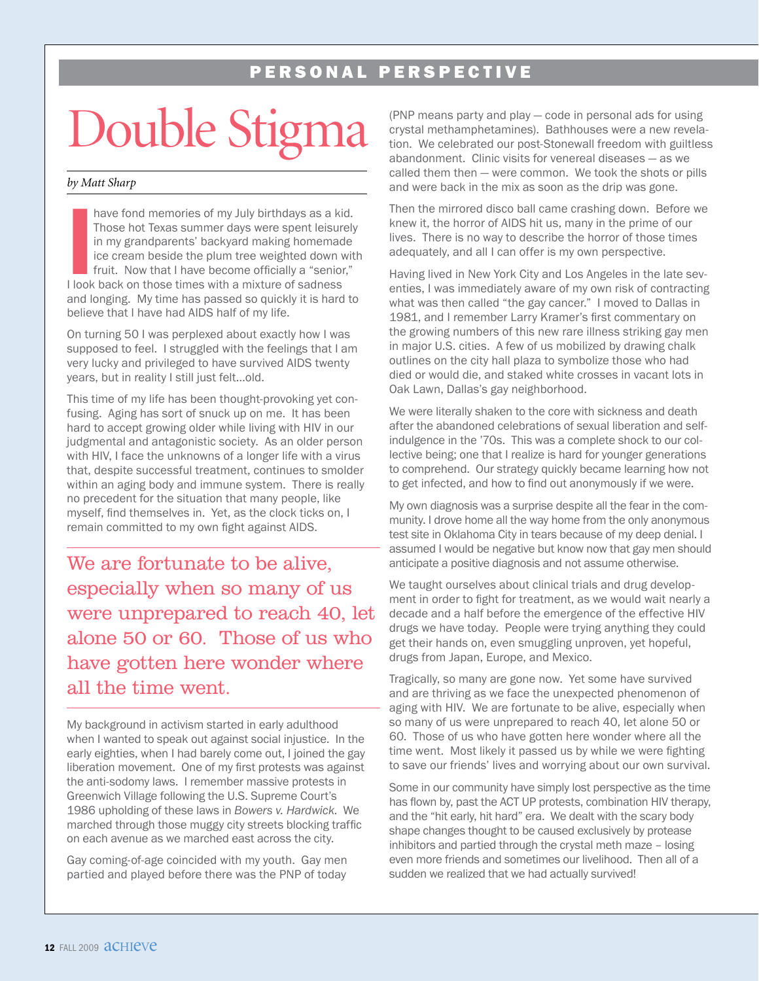#### PERSONAL PERSPECTIVE

### Double Stign

#### *by Matt Sharp*

have fond memories of my July birthdays as a kided Those hot Texas summer days were spent leisure in my grandparents' backyard making homemadice cream beside the plum tree weighted down v fruit. Now that I have become offi have fond memories of my July birthdays as a kid. Those hot Texas summer days were spent leisurely in my grandparents' backyard making homemade ice cream beside the plum tree weighted down with fruit. Now that I have become officially a "senior," and longing. My time has passed so quickly it is hard to believe that I have had AIDS half of my life.

On turning 50 I was perplexed about exactly how I was supposed to feel. I struggled with the feelings that I am very lucky and privileged to have survived AIDS twenty years, but in reality I still just felt…old.

This time of my life has been thought-provoking yet confusing. Aging has sort of snuck up on me. It has been hard to accept growing older while living with HIV in our judgmental and antagonistic society. As an older person with HIV, I face the unknowns of a longer life with a virus that, despite successful treatment, continues to smolder within an aging body and immune system. There is really no precedent for the situation that many people, like myself, find themselves in. Yet, as the clock ticks on, I remain committed to my own fight against AIDS.

We are fortunate to be alive, especially when so many of us were unprepared to reach 40, let alone 50 or 60. Those of us who have gotten here wonder where all the time went.

My background in activism started in early adulthood when I wanted to speak out against social injustice. In the early eighties, when I had barely come out, I joined the gay liberation movement. One of my first protests was against the anti-sodomy laws. I remember massive protests in Greenwich Village following the U.S. Supreme Court's 1986 upholding of these laws in *Bowers v. Hardwick*. We marched through those muggy city streets blocking traffic on each avenue as we marched east across the city.

Gay coming-of-age coincided with my youth. Gay men partied and played before there was the PNP of today (PNP means party and play — code in personal ads for using crystal methamphetamines). Bathhouses were a new revelation. We celebrated our post-Stonewall freedom with guiltless abandonment. Clinic visits for venereal diseases — as we called them then — were common. We took the shots or pills and were back in the mix as soon as the drip was gone.

Then the mirrored disco ball came crashing down. Before we knew it, the horror of AIDS hit us, many in the prime of our lives. There is no way to describe the horror of those times adequately, and all I can offer is my own perspective.

Having lived in New York City and Los Angeles in the late seventies, I was immediately aware of my own risk of contracting what was then called "the gay cancer." I moved to Dallas in 1981, and I remember Larry Kramer's first commentary on the growing numbers of this new rare illness striking gay men in major U.S. cities. A few of us mobilized by drawing chalk outlines on the city hall plaza to symbolize those who had died or would die, and staked white crosses in vacant lots in Oak Lawn, Dallas's gay neighborhood.

We were literally shaken to the core with sickness and death after the abandoned celebrations of sexual liberation and selfindulgence in the '70s. This was a complete shock to our collective being; one that I realize is hard for younger generations to comprehend. Our strategy quickly became learning how not to get infected, and how to find out anonymously if we were.

My own diagnosis was a surprise despite all the fear in the community. I drove home all the way home from the only anonymous test site in Oklahoma City in tears because of my deep denial. I assumed I would be negative but know now that gay men should anticipate a positive diagnosis and not assume otherwise.

We taught ourselves about clinical trials and drug development in order to fight for treatment, as we would wait nearly a decade and a half before the emergence of the effective HIV drugs we have today. People were trying anything they could get their hands on, even smuggling unproven, yet hopeful, drugs from Japan, Europe, and Mexico.

Tragically, so many are gone now. Yet some have survived and are thriving as we face the unexpected phenomenon of aging with HIV. We are fortunate to be alive, especially when so many of us were unprepared to reach 40, let alone 50 or 60. Those of us who have gotten here wonder where all the time went. Most likely it passed us by while we were fighting to save our friends' lives and worrying about our own survival.

Some in our community have simply lost perspective as the time has flown by, past the ACT UP protests, combination HIV therapy, and the "hit early, hit hard" era. We dealt with the scary body shape changes thought to be caused exclusively by protease inhibitors and partied through the crystal meth maze – losing even more friends and sometimes our livelihood. Then all of a sudden we realized that we had actually survived!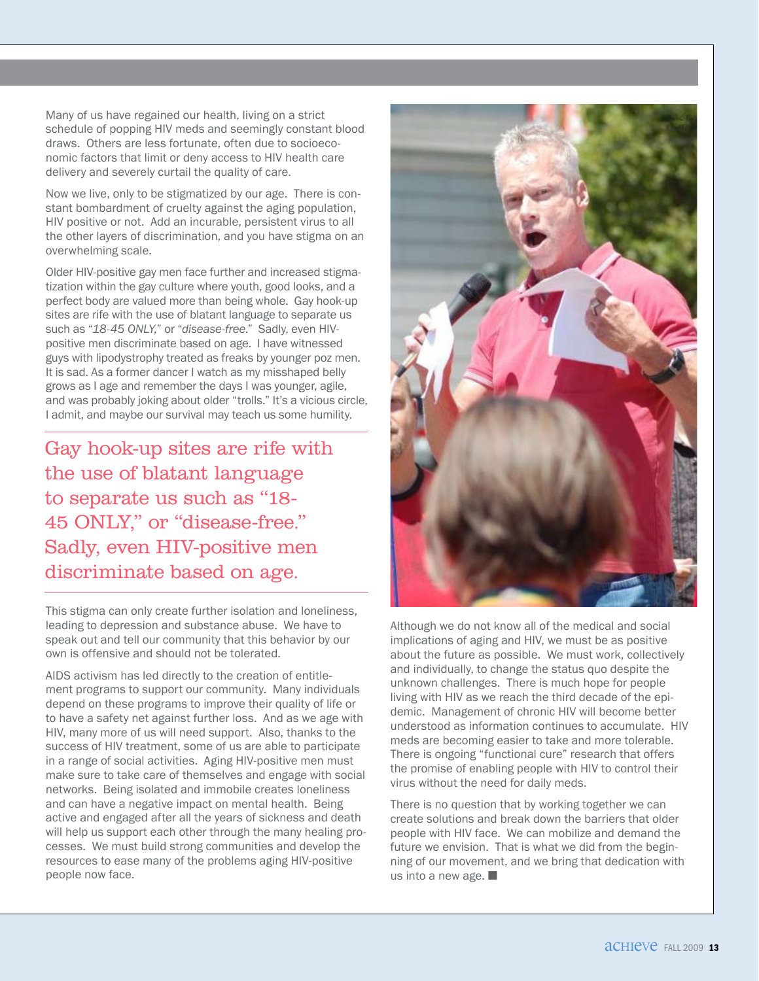Many of us have regained our health, living on a strict schedule of popping HIV meds and seemingly constant blood draws. Others are less fortunate, often due to socioeconomic factors that limit or deny access to HIV health care delivery and severely curtail the quality of care.

Now we live, only to be stigmatized by our age. There is constant bombardment of cruelty against the aging population, HIV positive or not. Add an incurable, persistent virus to all the other layers of discrimination, and you have stigma on an overwhelming scale.

Older HIV-positive gay men face further and increased stigmatization within the gay culture where youth, good looks, and a perfect body are valued more than being whole. Gay hook-up sites are rife with the use of blatant language to separate us such as "*18-45 ONLY,*" or "*disease-free*." Sadly, even HIVpositive men discriminate based on age. I have witnessed guys with lipodystrophy treated as freaks by younger poz men. It is sad. As a former dancer I watch as my misshaped belly grows as I age and remember the days I was younger, agile, and was probably joking about older "trolls." It's a vicious circle, I admit, and maybe our survival may teach us some humility.

Gay hook-up sites are rife with the use of blatant language to separate us such as "18- 45 ONLY," or "disease-free." Sadly, even HIV-positive men discriminate based on age.

This stigma can only create further isolation and loneliness, leading to depression and substance abuse. We have to speak out and tell our community that this behavior by our own is offensive and should not be tolerated.

AIDS activism has led directly to the creation of entitlement programs to support our community. Many individuals depend on these programs to improve their quality of life or to have a safety net against further loss. And as we age with HIV, many more of us will need support. Also, thanks to the success of HIV treatment, some of us are able to participate in a range of social activities. Aging HIV-positive men must make sure to take care of themselves and engage with social networks. Being isolated and immobile creates loneliness and can have a negative impact on mental health. Being active and engaged after all the years of sickness and death will help us support each other through the many healing processes. We must build strong communities and develop the resources to ease many of the problems aging HIV-positive people now face.



Although we do not know all of the medical and social implications of aging and HIV, we must be as positive about the future as possible. We must work, collectively and individually, to change the status quo despite the unknown challenges. There is much hope for people living with HIV as we reach the third decade of the epidemic. Management of chronic HIV will become better understood as information continues to accumulate. HIV meds are becoming easier to take and more tolerable. There is ongoing "functional cure" research that offers the promise of enabling people with HIV to control their virus without the need for daily meds.

There is no question that by working together we can create solutions and break down the barriers that older people with HIV face. We can mobilize and demand the future we envision. That is what we did from the beginning of our movement, and we bring that dedication with us into a new age.  $\blacksquare$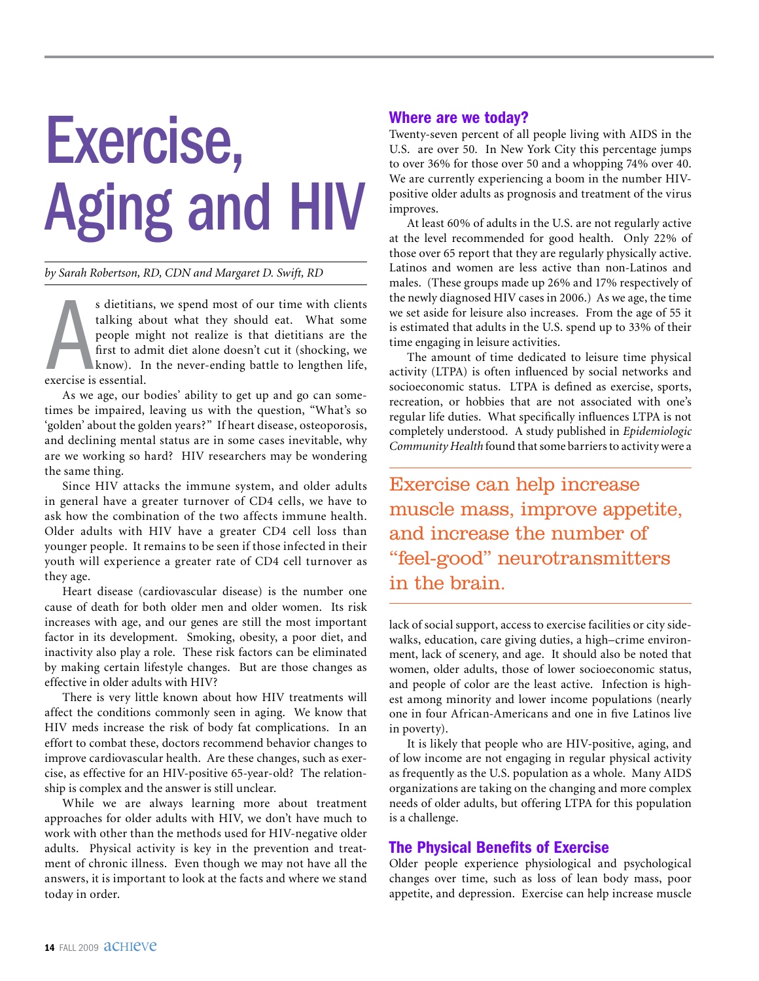# Exercise, Aging and HIV

#### *by Sarah Robertson, RD, CDN and Margaret D. Swift, RD*

s dietitian<br>talking ab<br>people mi<br>first to adi<br>know). Ir<br>exercise is essential. s dietitians, we spend most of our time with clients talking about what they should eat. What some people might not realize is that dietitians are the first to admit diet alone doesn't cut it (shocking, we know). In the never-ending battle to lengthen life,

As we age, our bodies' ability to get up and go can sometimes be impaired, leaving us with the question, "What's so 'golden' about the golden years?" If heart disease, osteoporosis, and declining mental status are in some cases inevitable, why are we working so hard? HIV researchers may be wondering the same thing.

Since HIV attacks the immune system, and older adults in general have a greater turnover of CD4 cells, we have to ask how the combination of the two affects immune health. Older adults with HIV have a greater CD4 cell loss than younger people. It remains to be seen if those infected in their youth will experience a greater rate of CD4 cell turnover as they age.

Heart disease (cardiovascular disease) is the number one cause of death for both older men and older women. Its risk increases with age, and our genes are still the most important factor in its development. Smoking, obesity, a poor diet, and inactivity also play a role. These risk factors can be eliminated by making certain lifestyle changes. But are those changes as effective in older adults with HIV?

There is very little known about how HIV treatments will affect the conditions commonly seen in aging. We know that HIV meds increase the risk of body fat complications. In an effort to combat these, doctors recommend behavior changes to improve cardiovascular health. Are these changes, such as exercise, as effective for an HIV-positive 65-year-old? The relationship is complex and the answer is still unclear.

While we are always learning more about treatment approaches for older adults with HIV, we don't have much to work with other than the methods used for HIV-negative older adults. Physical activity is key in the prevention and treatment of chronic illness. Even though we may not have all the answers, it is important to look at the facts and where we stand today in order.

#### Where are we today?

Twenty-seven percent of all people living with AIDS in the U.S. are over 50. In New York City this percentage jumps to over 36% for those over 50 and a whopping 74% over 40. We are currently experiencing a boom in the number HIVpositive older adults as prognosis and treatment of the virus improves.

At least 60% of adults in the U.S. are not regularly active at the level recommended for good health. Only 22% of those over 65 report that they are regularly physically active. Latinos and women are less active than non-Latinos and males. (These groups made up 26% and 17% respectively of the newly diagnosed HIV cases in 2006.) As we age, the time we set aside for leisure also increases. From the age of 55 it is estimated that adults in the U.S. spend up to 33% of their time engaging in leisure activities.

The amount of time dedicated to leisure time physical activity (LTPA) is often influenced by social networks and socioeconomic status. LTPA is defined as exercise, sports, recreation, or hobbies that are not associated with one's regular life duties. What specifically influences LTPA is not completely understood. A study published in *Epidemiologic Community Health* found that some barriers to activity were a

Exercise can help increase muscle mass, improve appetite, and increase the number of "feel-good" neurotransmitters in the brain.

lack of social support, access to exercise facilities or city sidewalks, education, care giving duties, a high–crime environment, lack of scenery, and age. It should also be noted that women, older adults, those of lower socioeconomic status, and people of color are the least active. Infection is highest among minority and lower income populations (nearly one in four African-Americans and one in five Latinos live in poverty).

It is likely that people who are HIV-positive, aging, and of low income are not engaging in regular physical activity as frequently as the U.S. population as a whole. Many AIDS organizations are taking on the changing and more complex needs of older adults, but offering LTPA for this population is a challenge.

#### The Physical Benefits of Exercise

Older people experience physiological and psychological changes over time, such as loss of lean body mass, poor appetite, and depression. Exercise can help increase muscle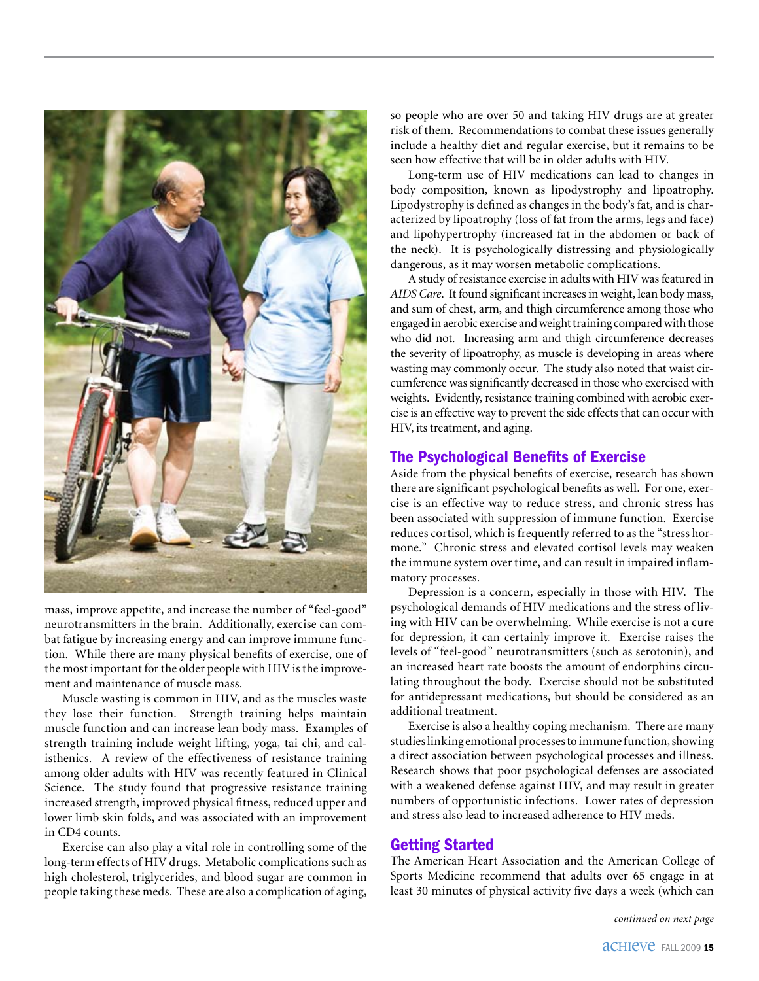

mass, improve appetite, and increase the number of "feel-good" neurotransmitters in the brain. Additionally, exercise can combat fatigue by increasing energy and can improve immune function. While there are many physical benefits of exercise, one of the most important for the older people with HIV is the improvement and maintenance of muscle mass.

Muscle wasting is common in HIV, and as the muscles waste they lose their function. Strength training helps maintain muscle function and can increase lean body mass. Examples of strength training include weight lifting, yoga, tai chi, and calisthenics. A review of the effectiveness of resistance training among older adults with HIV was recently featured in Clinical Science. The study found that progressive resistance training increased strength, improved physical fitness, reduced upper and lower limb skin folds, and was associated with an improvement in CD4 counts.

Exercise can also play a vital role in controlling some of the long-term effects of HIV drugs. Metabolic complications such as high cholesterol, triglycerides, and blood sugar are common in people taking these meds. These are also a complication of aging,

so people who are over 50 and taking HIV drugs are at greater risk of them. Recommendations to combat these issues generally include a healthy diet and regular exercise, but it remains to be seen how effective that will be in older adults with HIV.

Long-term use of HIV medications can lead to changes in body composition, known as lipodystrophy and lipoatrophy. Lipodystrophy is defined as changes in the body's fat, and is characterized by lipoatrophy (loss of fat from the arms, legs and face) and lipohypertrophy (increased fat in the abdomen or back of the neck). It is psychologically distressing and physiologically dangerous, as it may worsen metabolic complications.

A study of resistance exercise in adults with HIV was featured in *AIDS Care*. It found significant increases in weight, lean body mass, and sum of chest, arm, and thigh circumference among those who engaged in aerobic exercise and weight training compared with those who did not. Increasing arm and thigh circumference decreases the severity of lipoatrophy, as muscle is developing in areas where wasting may commonly occur. The study also noted that waist circumference was significantly decreased in those who exercised with weights. Evidently, resistance training combined with aerobic exercise is an effective way to prevent the side effects that can occur with HIV, its treatment, and aging.

#### The Psychological Benefits of Exercise

Aside from the physical benefits of exercise, research has shown there are significant psychological benefits as well. For one, exercise is an effective way to reduce stress, and chronic stress has been associated with suppression of immune function. Exercise reduces cortisol, which is frequently referred to as the "stress hormone." Chronic stress and elevated cortisol levels may weaken the immune system over time, and can result in impaired inflammatory processes.

Depression is a concern, especially in those with HIV. The psychological demands of HIV medications and the stress of living with HIV can be overwhelming. While exercise is not a cure for depression, it can certainly improve it. Exercise raises the levels of "feel-good" neurotransmitters (such as serotonin), and an increased heart rate boosts the amount of endorphins circulating throughout the body. Exercise should not be substituted for antidepressant medications, but should be considered as an additional treatment.

Exercise is also a healthy coping mechanism. There are many studies linking emotional processes to immune function, showing a direct association between psychological processes and illness. Research shows that poor psychological defenses are associated with a weakened defense against HIV, and may result in greater numbers of opportunistic infections. Lower rates of depression and stress also lead to increased adherence to HIV meds.

#### Getting Started

The American Heart Association and the American College of Sports Medicine recommend that adults over 65 engage in at least 30 minutes of physical activity five days a week (which can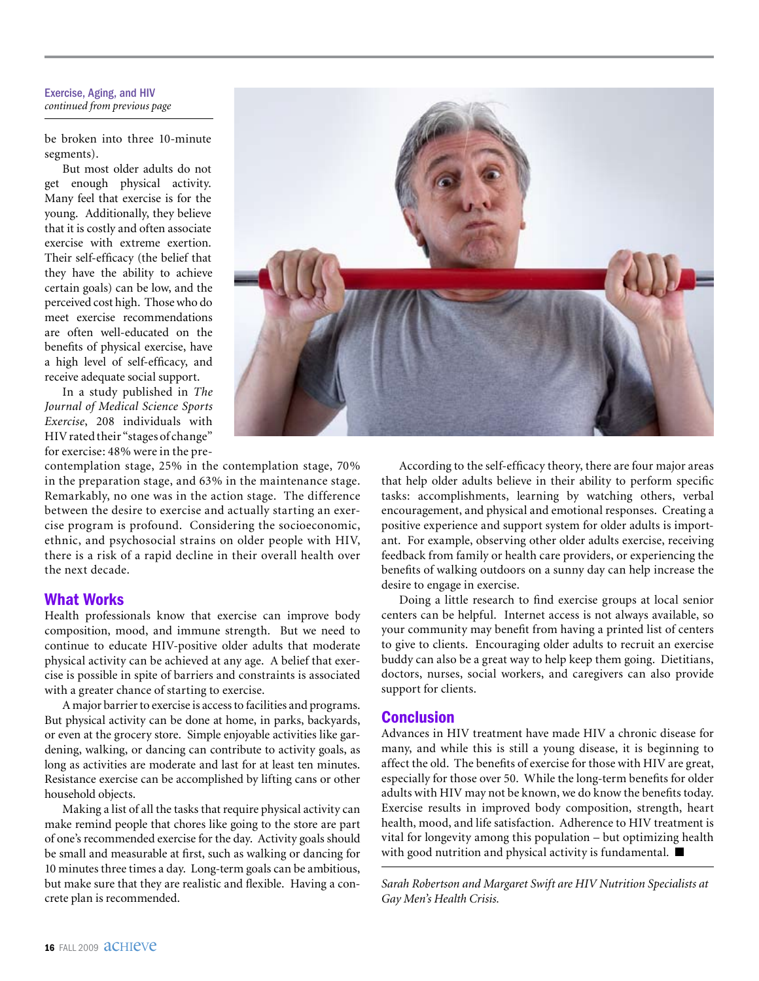#### Exercise, Aging, and HIV *continued from previous page*

be broken into three 10-minute segments).

But most older adults do not get enough physical activity. Many feel that exercise is for the young. Additionally, they believe that it is costly and often associate exercise with extreme exertion. Their self-efficacy (the belief that they have the ability to achieve certain goals) can be low, and the perceived cost high. Those who do meet exercise recommendations are often well-educated on the benefits of physical exercise, have a high level of self-efficacy, and receive adequate social support.

In a study published in *The Journal of Medical Science Sports Exercise*, 208 individuals with HIV rated their "stages of change" for exercise: 48% were in the pre-

contemplation stage, 25% in the contemplation stage, 70% in the preparation stage, and 63% in the maintenance stage. Remarkably, no one was in the action stage. The difference between the desire to exercise and actually starting an exercise program is profound. Considering the socioeconomic, ethnic, and psychosocial strains on older people with HIV, there is a risk of a rapid decline in their overall health over the next decade.

#### What Works

Health professionals know that exercise can improve body composition, mood, and immune strength. But we need to continue to educate HIV-positive older adults that moderate physical activity can be achieved at any age. A belief that exercise is possible in spite of barriers and constraints is associated with a greater chance of starting to exercise.

A major barrier to exercise is access to facilities and programs. But physical activity can be done at home, in parks, backyards, or even at the grocery store. Simple enjoyable activities like gardening, walking, or dancing can contribute to activity goals, as long as activities are moderate and last for at least ten minutes. Resistance exercise can be accomplished by lifting cans or other household objects.

Making a list of all the tasks that require physical activity can make remind people that chores like going to the store are part of one's recommended exercise for the day. Activity goals should be small and measurable at first, such as walking or dancing for 10 minutes three times a day. Long-term goals can be ambitious, but make sure that they are realistic and flexible. Having a concrete plan is recommended.



According to the self-efficacy theory, there are four major areas that help older adults believe in their ability to perform specific tasks: accomplishments, learning by watching others, verbal encouragement, and physical and emotional responses. Creating a positive experience and support system for older adults is important. For example, observing other older adults exercise, receiving feedback from family or health care providers, or experiencing the benefits of walking outdoors on a sunny day can help increase the desire to engage in exercise.

Doing a little research to find exercise groups at local senior centers can be helpful. Internet access is not always available, so your community may benefit from having a printed list of centers to give to clients. Encouraging older adults to recruit an exercise buddy can also be a great way to help keep them going. Dietitians, doctors, nurses, social workers, and caregivers can also provide support for clients.

#### Conclusion

Advances in HIV treatment have made HIV a chronic disease for many, and while this is still a young disease, it is beginning to affect the old. The benefits of exercise for those with HIV are great, especially for those over 50. While the long-term benefits for older adults with HIV may not be known, we do know the benefits today. Exercise results in improved body composition, strength, heart health, mood, and life satisfaction. Adherence to HIV treatment is vital for longevity among this population – but optimizing health with good nutrition and physical activity is fundamental.  $\blacksquare$ 

*Sarah Robertson and Margaret Swift are HIV Nutrition Specialists at Gay Men's Health Crisis.*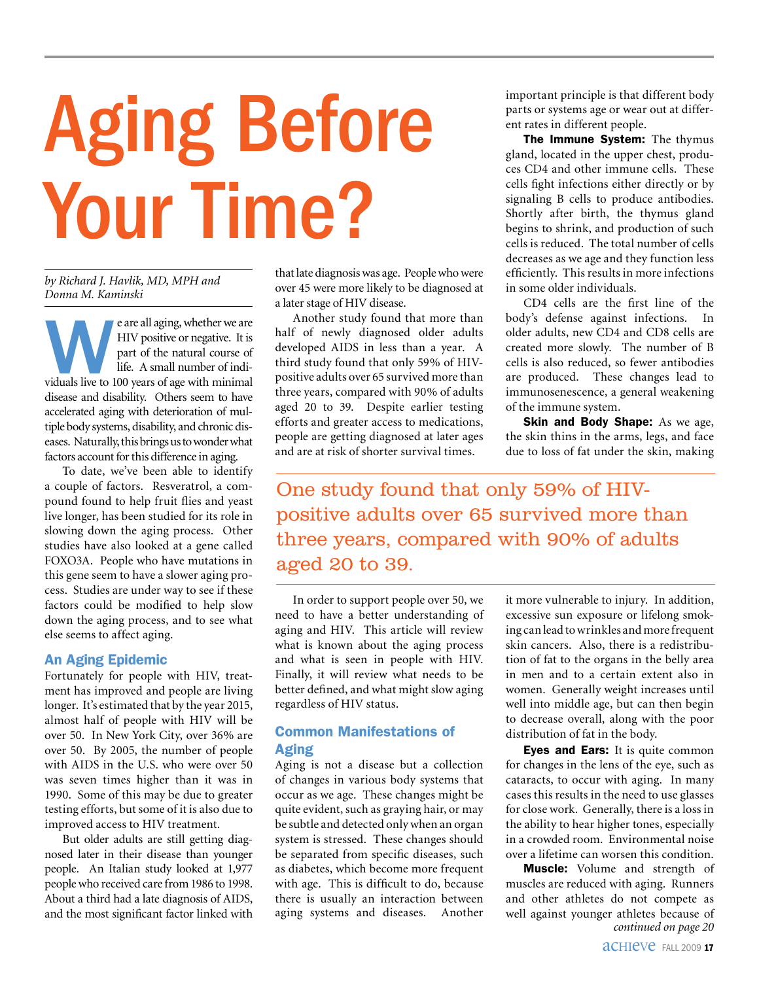# Aging Before Your Time?

*by Richard J. Havlik, MD, MPH and Donna M. Kaminski*

e are all aging, whether we are<br>
HIV positive or negative. It is<br>
part of the natural course of<br>
life. A small number of indi-<br>
viduals live to 100 years of age with minimal HIV positive or negative. It is part of the natural course of life. A small number of indidisease and disability. Others seem to have accelerated aging with deterioration of multiple body systems, disability, and chronic diseases. Naturally, this brings us to wonder what factors account for this difference in aging.

To date, we've been able to identify a couple of factors. Resveratrol, a compound found to help fruit flies and yeast live longer, has been studied for its role in slowing down the aging process. Other studies have also looked at a gene called FOXO3A. People who have mutations in this gene seem to have a slower aging process. Studies are under way to see if these factors could be modified to help slow down the aging process, and to see what else seems to affect aging.

#### An Aging Epidemic

Fortunately for people with HIV, treatment has improved and people are living longer. It's estimated that by the year 2015, almost half of people with HIV will be over 50. In New York City, over 36% are over 50. By 2005, the number of people with AIDS in the U.S. who were over 50 was seven times higher than it was in 1990. Some of this may be due to greater testing efforts, but some of it is also due to improved access to HIV treatment.

But older adults are still getting diagnosed later in their disease than younger people. An Italian study looked at 1,977 people who received care from 1986 to 1998. About a third had a late diagnosis of AIDS, and the most significant factor linked with that late diagnosis was age. People who were over 45 were more likely to be diagnosed at a later stage of HIV disease.

Another study found that more than half of newly diagnosed older adults developed AIDS in less than a year. A third study found that only 59% of HIVpositive adults over 65 survived more than three years, compared with 90% of adults aged 20 to 39. Despite earlier testing efforts and greater access to medications, people are getting diagnosed at later ages and are at risk of shorter survival times.

important principle is that different body parts or systems age or wear out at different rates in different people.

The Immune System: The thymus gland, located in the upper chest, produces CD4 and other immune cells. These cells fight infections either directly or by signaling B cells to produce antibodies. Shortly after birth, the thymus gland begins to shrink, and production of such cells is reduced. The total number of cells decreases as we age and they function less efficiently. This results in more infections in some older individuals.

CD4 cells are the first line of the body's defense against infections. In older adults, new CD4 and CD8 cells are created more slowly. The number of B cells is also reduced, so fewer antibodies are produced. These changes lead to immunosenescence, a general weakening of the immune system.

**Skin and Body Shape:** As we age, the skin thins in the arms, legs, and face due to loss of fat under the skin, making

One study found that only 59% of HIVpositive adults over 65 survived more than three years, compared with 90% of adults aged 20 to 39.

In order to support people over 50, we need to have a better understanding of aging and HIV. This article will review what is known about the aging process and what is seen in people with HIV. Finally, it will review what needs to be better defined, and what might slow aging regardless of HIV status.

#### Common Manifestations of Aging

Aging is not a disease but a collection of changes in various body systems that occur as we age. These changes might be quite evident, such as graying hair, or may be subtle and detected only when an organ system is stressed. These changes should be separated from specific diseases, such as diabetes, which become more frequent with age. This is difficult to do, because there is usually an interaction between aging systems and diseases. Another

it more vulnerable to injury. In addition, excessive sun exposure or lifelong smoking can lead to wrinkles and more frequent skin cancers. Also, there is a redistribution of fat to the organs in the belly area in men and to a certain extent also in women. Generally weight increases until well into middle age, but can then begin to decrease overall, along with the poor distribution of fat in the body.

Eyes and Ears: It is quite common for changes in the lens of the eye, such as cataracts, to occur with aging. In many cases this results in the need to use glasses for close work. Generally, there is a loss in the ability to hear higher tones, especially in a crowded room. Environmental noise over a lifetime can worsen this condition.

**Muscle:** Volume and strength of muscles are reduced with aging. Runners and other athletes do not compete as well against younger athletes because of *continued on page 20*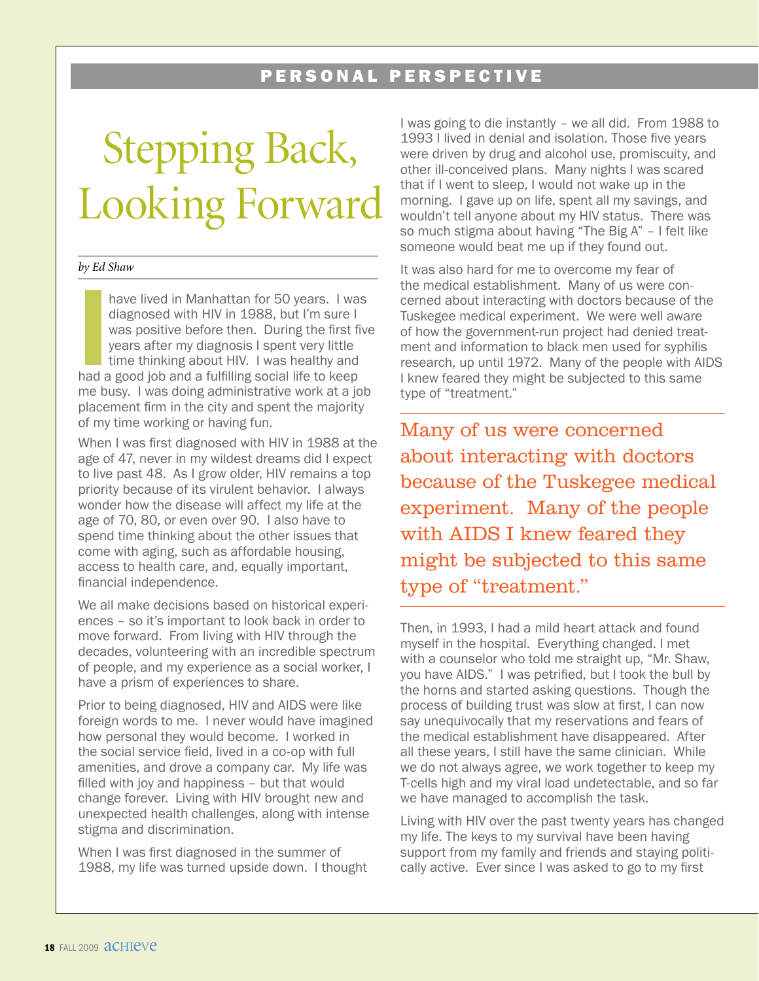#### PERSONAL PERSPECTIVE

### Stepping Back, Looking Forward

#### *by Ed Shaw*

have lived in Manhattan for 50 years. I was<br>
diagnosed with HIV in 1988, but I'm sure I<br>
was positive before then. During the first fi<br>
years after my diagnosis I spent very little<br>
time thinking about HIV. I was healthy a have lived in Manhattan for 50 years. I was diagnosed with HIV in 1988, but I'm sure I was positive before then. During the first five years after my diagnosis I spent very little time thinking about HIV. I was healthy and me busy. I was doing administrative work at a job placement firm in the city and spent the majority of my time working or having fun.

When I was first diagnosed with HIV in 1988 at the age of 47, never in my wildest dreams did I expect to live past 48. As I grow older, HIV remains a top priority because of its virulent behavior. I always wonder how the disease will affect my life at the age of 70, 80, or even over 90. I also have to spend time thinking about the other issues that come with aging, such as affordable housing, access to health care, and, equally important, financial independence.

We all make decisions based on historical experiences – so it's important to look back in order to move forward. From living with HIV through the decades, volunteering with an incredible spectrum of people, and my experience as a social worker, I have a prism of experiences to share.

Prior to being diagnosed, HIV and AIDS were like foreign words to me. I never would have imagined how personal they would become. I worked in the social service field, lived in a co-op with full amenities, and drove a company car. My life was filled with joy and happiness – but that would change forever. Living with HIV brought new and unexpected health challenges, along with intense stigma and discrimination.

When I was first diagnosed in the summer of 1988, my life was turned upside down. I thought I was going to die instantly – we all did. From 1988 to 1993 I lived in denial and isolation. Those five years were driven by drug and alcohol use, promiscuity, and other ill-conceived plans. Many nights I was scared that if I went to sleep, I would not wake up in the morning. I gave up on life, spent all my savings, and wouldn't tell anyone about my HIV status. There was so much stigma about having "The Big A" – I felt like someone would beat me up if they found out.

It was also hard for me to overcome my fear of the medical establishment. Many of us were concerned about interacting with doctors because of the Tuskegee medical experiment. We were well aware of how the government-run project had denied treatment and information to black men used for syphilis research, up until 1972. Many of the people with AIDS I knew feared they might be subjected to this same type of "treatment."

Many of us were concerned about interacting with doctors because of the Tuskegee medical experiment. Many of the people with AIDS I knew feared they might be subjected to this same type of "treatment."

Then, in 1993, I had a mild heart attack and found myself in the hospital. Everything changed. I met with a counselor who told me straight up, "Mr. Shaw, you have AIDS." I was petrified, but I took the bull by the horns and started asking questions. Though the process of building trust was slow at first, I can now say unequivocally that my reservations and fears of the medical establishment have disappeared. After all these years, I still have the same clinician. While we do not always agree, we work together to keep my T-cells high and my viral load undetectable, and so far we have managed to accomplish the task.

Living with HIV over the past twenty years has changed my life. The keys to my survival have been having support from my family and friends and staying politically active. Ever since I was asked to go to my first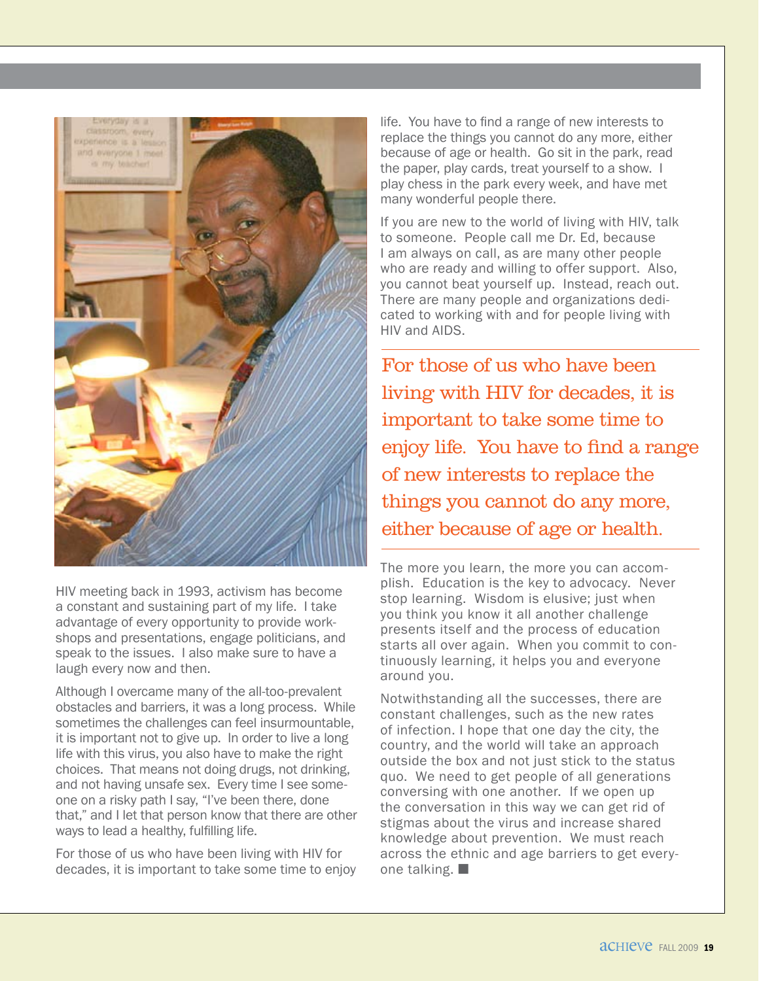

HIV meeting back in 1993, activism has become a constant and sustaining part of my life. I take advantage of every opportunity to provide workshops and presentations, engage politicians, and speak to the issues. I also make sure to have a laugh every now and then.

Although I overcame many of the all-too-prevalent obstacles and barriers, it was a long process. While sometimes the challenges can feel insurmountable, it is important not to give up. In order to live a long life with this virus, you also have to make the right choices. That means not doing drugs, not drinking, and not having unsafe sex. Every time I see someone on a risky path I say, "I've been there, done that," and I let that person know that there are other ways to lead a healthy, fulfilling life.

For those of us who have been living with HIV for decades, it is important to take some time to enjoy life. You have to find a range of new interests to replace the things you cannot do any more, either because of age or health. Go sit in the park, read the paper, play cards, treat yourself to a show. I play chess in the park every week, and have met many wonderful people there.

If you are new to the world of living with HIV, talk to someone. People call me Dr. Ed, because I am always on call, as are many other people who are ready and willing to offer support. Also, you cannot beat yourself up. Instead, reach out. There are many people and organizations dedicated to working with and for people living with HIV and AIDS.

For those of us who have been living with HIV for decades, it is important to take some time to enjoy life. You have to find a range of new interests to replace the things you cannot do any more, either because of age or health.

The more you learn, the more you can accomplish. Education is the key to advocacy. Never stop learning. Wisdom is elusive; just when you think you know it all another challenge presents itself and the process of education starts all over again. When you commit to continuously learning, it helps you and everyone around you.

Notwithstanding all the successes, there are constant challenges, such as the new rates of infection. I hope that one day the city, the country, and the world will take an approach outside the box and not just stick to the status quo. We need to get people of all generations conversing with one another. If we open up the conversation in this way we can get rid of stigmas about the virus and increase shared knowledge about prevention. We must reach across the ethnic and age barriers to get everyone talking.  $\blacksquare$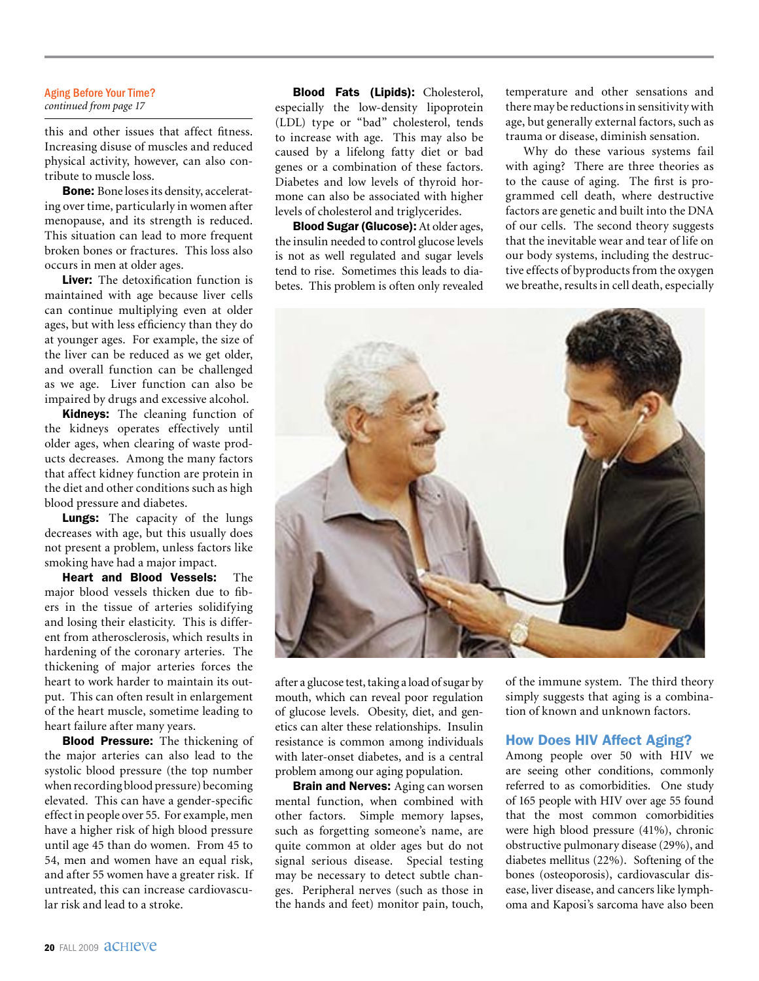#### Aging Before Your Time? *continued from page 17*

this and other issues that affect fitness. Increasing disuse of muscles and reduced physical activity, however, can also contribute to muscle loss.

Bone: Bone loses its density, accelerating over time, particularly in women after menopause, and its strength is reduced. This situation can lead to more frequent broken bones or fractures. This loss also occurs in men at older ages.

Liver: The detoxification function is maintained with age because liver cells can continue multiplying even at older ages, but with less efficiency than they do at younger ages. For example, the size of the liver can be reduced as we get older, and overall function can be challenged as we age. Liver function can also be impaired by drugs and excessive alcohol.

Kidneys: The cleaning function of the kidneys operates effectively until older ages, when clearing of waste products decreases. Among the many factors that affect kidney function are protein in the diet and other conditions such as high blood pressure and diabetes.

Lungs: The capacity of the lungs decreases with age, but this usually does not present a problem, unless factors like smoking have had a major impact.

Heart and Blood Vessels: The major blood vessels thicken due to fibers in the tissue of arteries solidifying and losing their elasticity. This is different from atherosclerosis, which results in hardening of the coronary arteries. The thickening of major arteries forces the heart to work harder to maintain its output. This can often result in enlargement of the heart muscle, sometime leading to heart failure after many years.

Blood Pressure: The thickening of the major arteries can also lead to the systolic blood pressure (the top number when recording blood pressure) becoming elevated. This can have a gender-specific effect in people over 55. For example, men have a higher risk of high blood pressure until age 45 than do women. From 45 to 54, men and women have an equal risk, and after 55 women have a greater risk. If untreated, this can increase cardiovascular risk and lead to a stroke.

Blood Fats (Lipids): Cholesterol, especially the low-density lipoprotein (LDL) type or "bad" cholesterol, tends to increase with age. This may also be caused by a lifelong fatty diet or bad genes or a combination of these factors. Diabetes and low levels of thyroid hormone can also be associated with higher levels of cholesterol and triglycerides.

Blood Sugar (Glucose): At older ages, the insulin needed to control glucose levels is not as well regulated and sugar levels tend to rise. Sometimes this leads to diabetes. This problem is often only revealed temperature and other sensations and there may be reductions in sensitivity with age, but generally external factors, such as trauma or disease, diminish sensation.

Why do these various systems fail with aging? There are three theories as to the cause of aging. The first is programmed cell death, where destructive factors are genetic and built into the DNA of our cells. The second theory suggests that the inevitable wear and tear of life on our body systems, including the destructive effects of byproducts from the oxygen we breathe, results in cell death, especially



after a glucose test, taking a load of sugar by mouth, which can reveal poor regulation of glucose levels. Obesity, diet, and genetics can alter these relationships. Insulin resistance is common among individuals with later-onset diabetes, and is a central problem among our aging population.

**Brain and Nerves:** Aging can worsen mental function, when combined with other factors. Simple memory lapses, such as forgetting someone's name, are quite common at older ages but do not signal serious disease. Special testing may be necessary to detect subtle changes. Peripheral nerves (such as those in the hands and feet) monitor pain, touch, of the immune system. The third theory simply suggests that aging is a combination of known and unknown factors.

#### How Does HIV Affect Aging?

Among people over 50 with HIV we are seeing other conditions, commonly referred to as comorbidities. One study of 165 people with HIV over age 55 found that the most common comorbidities were high blood pressure (41%), chronic obstructive pulmonary disease (29%), and diabetes mellitus (22%). Softening of the bones (osteoporosis), cardiovascular disease, liver disease, and cancers like lymphoma and Kaposi's sarcoma have also been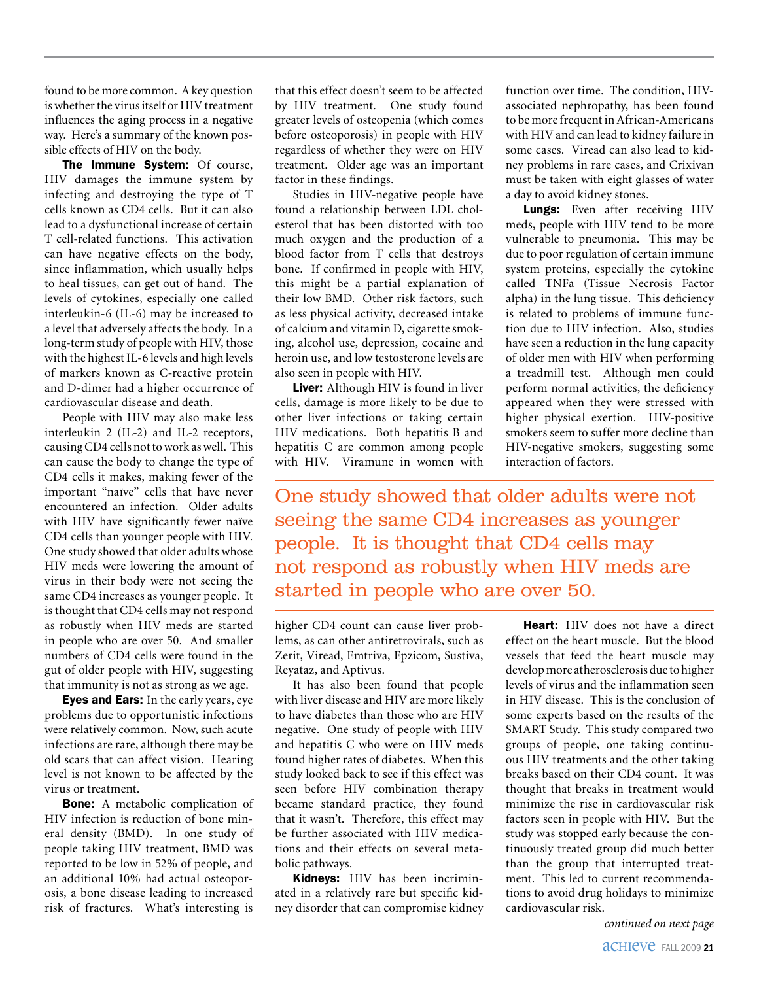found to be more common. A key question is whether the virus itself or HIV treatment influences the aging process in a negative way. Here's a summary of the known possible effects of HIV on the body.

The Immune System: Of course, HIV damages the immune system by infecting and destroying the type of T cells known as CD4 cells. But it can also lead to a dysfunctional increase of certain T cell-related functions. This activation can have negative effects on the body, since inflammation, which usually helps to heal tissues, can get out of hand. The levels of cytokines, especially one called interleukin-6 (IL-6) may be increased to a level that adversely affects the body. In a long-term study of people with HIV, those with the highest IL-6 levels and high levels of markers known as C-reactive protein and D-dimer had a higher occurrence of cardiovascular disease and death.

People with HIV may also make less interleukin 2 (IL-2) and IL-2 receptors, causing CD4 cells not to work as well. This can cause the body to change the type of CD4 cells it makes, making fewer of the important "naïve" cells that have never encountered an infection. Older adults with HIV have significantly fewer naïve CD4 cells than younger people with HIV. One study showed that older adults whose HIV meds were lowering the amount of virus in their body were not seeing the same CD4 increases as younger people. It is thought that CD4 cells may not respond as robustly when HIV meds are started in people who are over 50. And smaller numbers of CD4 cells were found in the gut of older people with HIV, suggesting that immunity is not as strong as we age.

Eyes and Ears: In the early years, eye problems due to opportunistic infections were relatively common. Now, such acute infections are rare, although there may be old scars that can affect vision. Hearing level is not known to be affected by the virus or treatment.

**Bone:** A metabolic complication of HIV infection is reduction of bone mineral density (BMD). In one study of people taking HIV treatment, BMD was reported to be low in 52% of people, and an additional 10% had actual osteoporosis, a bone disease leading to increased risk of fractures. What's interesting is that this effect doesn't seem to be affected by HIV treatment. One study found greater levels of osteopenia (which comes before osteoporosis) in people with HIV regardless of whether they were on HIV treatment. Older age was an important factor in these findings.

Studies in HIV-negative people have found a relationship between LDL cholesterol that has been distorted with too much oxygen and the production of a blood factor from T cells that destroys bone. If confirmed in people with HIV, this might be a partial explanation of their low BMD. Other risk factors, such as less physical activity, decreased intake of calcium and vitamin D, cigarette smoking, alcohol use, depression, cocaine and heroin use, and low testosterone levels are also seen in people with HIV.

Liver: Although HIV is found in liver cells, damage is more likely to be due to other liver infections or taking certain HIV medications. Both hepatitis B and hepatitis C are common among people with HIV. Viramune in women with function over time. The condition, HIVassociated nephropathy, has been found to be more frequent in African-Americans with HIV and can lead to kidney failure in some cases. Viread can also lead to kidney problems in rare cases, and Crixivan must be taken with eight glasses of water a day to avoid kidney stones.

**Lungs:** Even after receiving HIV meds, people with HIV tend to be more vulnerable to pneumonia. This may be due to poor regulation of certain immune system proteins, especially the cytokine called TNFa (Tissue Necrosis Factor alpha) in the lung tissue. This deficiency is related to problems of immune function due to HIV infection. Also, studies have seen a reduction in the lung capacity of older men with HIV when performing a treadmill test. Although men could perform normal activities, the deficiency appeared when they were stressed with higher physical exertion. HIV-positive smokers seem to suffer more decline than HIV-negative smokers, suggesting some interaction of factors.

One study showed that older adults were not seeing the same CD4 increases as younger people. It is thought that CD4 cells may not respond as robustly when HIV meds are started in people who are over 50.

higher CD4 count can cause liver problems, as can other antiretrovirals, such as Zerit, Viread, Emtriva, Epzicom, Sustiva, Reyataz, and Aptivus.

It has also been found that people with liver disease and HIV are more likely to have diabetes than those who are HIV negative. One study of people with HIV and hepatitis C who were on HIV meds found higher rates of diabetes. When this study looked back to see if this effect was seen before HIV combination therapy became standard practice, they found that it wasn't. Therefore, this effect may be further associated with HIV medications and their effects on several metabolic pathways.

Kidneys: HIV has been incriminated in a relatively rare but specific kidney disorder that can compromise kidney

Heart: HIV does not have a direct effect on the heart muscle. But the blood vessels that feed the heart muscle may develop more atherosclerosis due to higher levels of virus and the inflammation seen in HIV disease. This is the conclusion of some experts based on the results of the SMART Study. This study compared two groups of people, one taking continuous HIV treatments and the other taking breaks based on their CD4 count. It was thought that breaks in treatment would minimize the rise in cardiovascular risk factors seen in people with HIV. But the study was stopped early because the continuously treated group did much better than the group that interrupted treatment. This led to current recommendations to avoid drug holidays to minimize cardiovascular risk.

*continued on next page*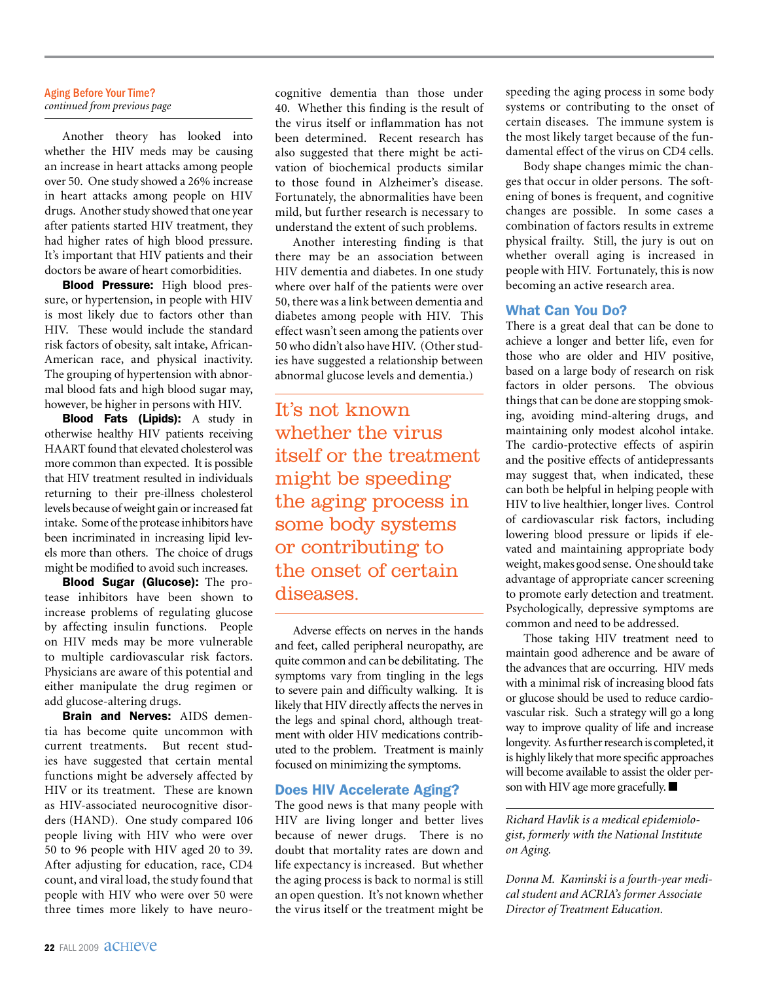#### Aging Before Your Time? *continued from previous page*

Another theory has looked into whether the HIV meds may be causing an increase in heart attacks among people over 50. One study showed a 26% increase in heart attacks among people on HIV drugs. Another study showed that one year after patients started HIV treatment, they had higher rates of high blood pressure. It's important that HIV patients and their doctors be aware of heart comorbidities.

Blood Pressure: High blood pressure, or hypertension, in people with HIV is most likely due to factors other than HIV. These would include the standard risk factors of obesity, salt intake, African-American race, and physical inactivity. The grouping of hypertension with abnormal blood fats and high blood sugar may, however, be higher in persons with HIV.

Blood Fats (Lipids): A study in otherwise healthy HIV patients receiving HAART found that elevated cholesterol was more common than expected. It is possible that HIV treatment resulted in individuals returning to their pre-illness cholesterol levels because of weight gain or increased fat intake. Some of the protease inhibitors have been incriminated in increasing lipid levels more than others. The choice of drugs might be modified to avoid such increases.

Blood Sugar (Glucose): The protease inhibitors have been shown to increase problems of regulating glucose by affecting insulin functions. People on HIV meds may be more vulnerable to multiple cardiovascular risk factors. Physicians are aware of this potential and either manipulate the drug regimen or add glucose-altering drugs.

Brain and Nerves: AIDS dementia has become quite uncommon with current treatments. But recent studies have suggested that certain mental functions might be adversely affected by HIV or its treatment. These are known as HIV-associated neurocognitive disorders (HAND). One study compared 106 people living with HIV who were over 50 to 96 people with HIV aged 20 to 39. After adjusting for education, race, CD4 count, and viral load, the study found that people with HIV who were over 50 were three times more likely to have neurocognitive dementia than those under 40. Whether this finding is the result of the virus itself or inflammation has not been determined. Recent research has also suggested that there might be activation of biochemical products similar to those found in Alzheimer's disease. Fortunately, the abnormalities have been mild, but further research is necessary to understand the extent of such problems.

Another interesting finding is that there may be an association between HIV dementia and diabetes. In one study where over half of the patients were over 50, there was a link between dementia and diabetes among people with HIV. This effect wasn't seen among the patients over 50 who didn't also have HIV. (Other studies have suggested a relationship between abnormal glucose levels and dementia.)

It's not known whether the virus itself or the treatment might be speeding the aging process in some body systems or contributing to the onset of certain diseases.

Adverse effects on nerves in the hands and feet, called peripheral neuropathy, are quite common and can be debilitating. The symptoms vary from tingling in the legs to severe pain and difficulty walking. It is likely that HIV directly affects the nerves in the legs and spinal chord, although treatment with older HIV medications contributed to the problem. Treatment is mainly focused on minimizing the symptoms.

#### Does HIV Accelerate Aging?

The good news is that many people with HIV are living longer and better lives because of newer drugs. There is no doubt that mortality rates are down and life expectancy is increased. But whether the aging process is back to normal is still an open question. It's not known whether the virus itself or the treatment might be speeding the aging process in some body systems or contributing to the onset of certain diseases. The immune system is the most likely target because of the fundamental effect of the virus on CD4 cells.

Body shape changes mimic the changes that occur in older persons. The softening of bones is frequent, and cognitive changes are possible. In some cases a combination of factors results in extreme physical frailty. Still, the jury is out on whether overall aging is increased in people with HIV. Fortunately, this is now becoming an active research area.

#### What Can You Do?

There is a great deal that can be done to achieve a longer and better life, even for those who are older and HIV positive, based on a large body of research on risk factors in older persons. The obvious things that can be done are stopping smoking, avoiding mind-altering drugs, and maintaining only modest alcohol intake. The cardio-protective effects of aspirin and the positive effects of antidepressants may suggest that, when indicated, these can both be helpful in helping people with HIV to live healthier, longer lives. Control of cardiovascular risk factors, including lowering blood pressure or lipids if elevated and maintaining appropriate body weight, makes good sense. One should take advantage of appropriate cancer screening to promote early detection and treatment. Psychologically, depressive symptoms are common and need to be addressed.

Those taking HIV treatment need to maintain good adherence and be aware of the advances that are occurring. HIV meds with a minimal risk of increasing blood fats or glucose should be used to reduce cardiovascular risk. Such a strategy will go a long way to improve quality of life and increase longevity. As further research is completed, it is highly likely that more specific approaches will become available to assist the older person with HIV age more gracefully.  $\blacksquare$ 

*Richard Havlik is a medical epidemiologist, formerly with the National Institute on Aging.*

*Donna M. Kaminski is a fourth-year medical student and ACRIA's former Associate Director of Treatment Education.*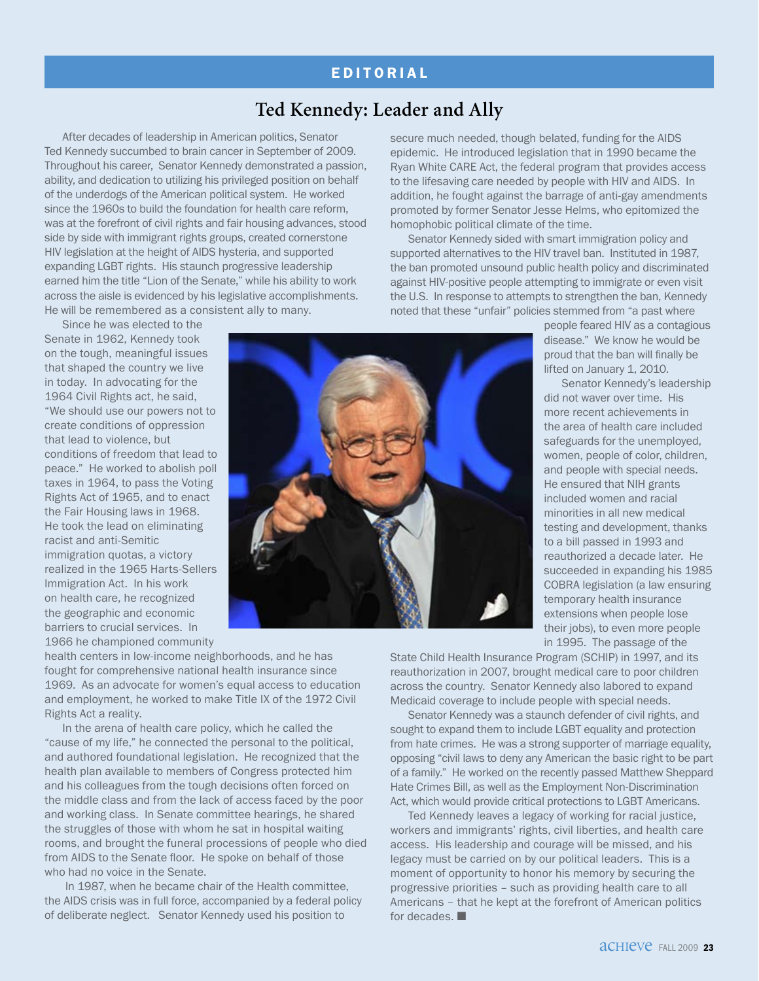#### **EDITORIAL**

#### **Ted Kennedy: Leader and Ally**

After decades of leadership in American politics, Senator Ted Kennedy succumbed to brain cancer in September of 2009. Throughout his career, Senator Kennedy demonstrated a passion, ability, and dedication to utilizing his privileged position on behalf of the underdogs of the American political system. He worked since the 1960s to build the foundation for health care reform, was at the forefront of civil rights and fair housing advances, stood side by side with immigrant rights groups, created cornerstone HIV legislation at the height of AIDS hysteria, and supported expanding LGBT rights. His staunch progressive leadership earned him the title "Lion of the Senate," while his ability to work across the aisle is evidenced by his legislative accomplishments. He will be remembered as a consistent ally to many.

Since he was elected to the Senate in 1962, Kennedy took on the tough, meaningful issues that shaped the country we live in today. In advocating for the 1964 Civil Rights act, he said, "We should use our powers not to create conditions of oppression that lead to violence, but conditions of freedom that lead to peace." He worked to abolish poll taxes in 1964, to pass the Voting Rights Act of 1965, and to enact the Fair Housing laws in 1968. He took the lead on eliminating racist and anti-Semitic immigration quotas, a victory realized in the 1965 Harts-Sellers Immigration Act. In his work on health care, he recognized the geographic and economic barriers to crucial services. In 1966 he championed community

health centers in low-income neighborhoods, and he has fought for comprehensive national health insurance since 1969. As an advocate for women's equal access to education and employment, he worked to make Title IX of the 1972 Civil Rights Act a reality.

In the arena of health care policy, which he called the "cause of my life," he connected the personal to the political, and authored foundational legislation. He recognized that the health plan available to members of Congress protected him and his colleagues from the tough decisions often forced on the middle class and from the lack of access faced by the poor and working class. In Senate committee hearings, he shared the struggles of those with whom he sat in hospital waiting rooms, and brought the funeral processions of people who died from AIDS to the Senate floor. He spoke on behalf of those who had no voice in the Senate.

 In 1987, when he became chair of the Health committee, the AIDS crisis was in full force, accompanied by a federal policy of deliberate neglect. Senator Kennedy used his position to

secure much needed, though belated, funding for the AIDS epidemic. He introduced legislation that in 1990 became the Ryan White CARE Act, the federal program that provides access to the lifesaving care needed by people with HIV and AIDS. In addition, he fought against the barrage of anti-gay amendments promoted by former Senator Jesse Helms, who epitomized the homophobic political climate of the time.

Senator Kennedy sided with smart immigration policy and supported alternatives to the HIV travel ban. Instituted in 1987, the ban promoted unsound public health policy and discriminated against HIV-positive people attempting to immigrate or even visit the U.S. In response to attempts to strengthen the ban, Kennedy noted that these "unfair" policies stemmed from "a past where

> people feared HIV as a contagious disease." We know he would be proud that the ban will finally be lifted on January 1, 2010.

> Senator Kennedy's leadership did not waver over time. His more recent achievements in the area of health care included safeguards for the unemployed, women, people of color, children, and people with special needs. He ensured that NIH grants included women and racial minorities in all new medical testing and development, thanks to a bill passed in 1993 and reauthorized a decade later. He succeeded in expanding his 1985 COBRA legislation (a law ensuring temporary health insurance extensions when people lose their jobs), to even more people in 1995. The passage of the

State Child Health Insurance Program (SCHIP) in 1997, and its reauthorization in 2007, brought medical care to poor children across the country. Senator Kennedy also labored to expand Medicaid coverage to include people with special needs.

Senator Kennedy was a staunch defender of civil rights, and sought to expand them to include LGBT equality and protection from hate crimes. He was a strong supporter of marriage equality, opposing "civil laws to deny any American the basic right to be part of a family." He worked on the recently passed Matthew Sheppard Hate Crimes Bill, as well as the Employment Non-Discrimination Act, which would provide critical protections to LGBT Americans.

Ted Kennedy leaves a legacy of working for racial justice, workers and immigrants' rights, civil liberties, and health care access. His leadership and courage will be missed, and his legacy must be carried on by our political leaders. This is a moment of opportunity to honor his memory by securing the progressive priorities – such as providing health care to all Americans – that he kept at the forefront of American politics for decades.  $\blacksquare$